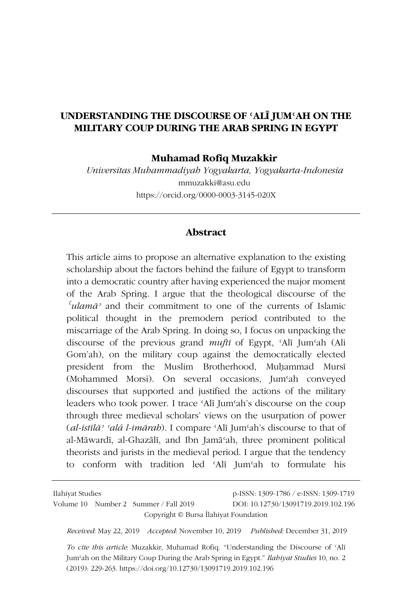## **UNDERSTANDING THE DISCOURSE OF ʿALĪ JUMʿAH ON THE MILITARY COUP DURING THE ARAB SPRING IN EGYPT**

**Muhamad Rofiq Muzakkir**

*Universitas Muhammadiyah Yogyakarta, Yogyakarta-Indonesia* mmuzakki@asu.edu https://orcid.org/0000-0003-3145-020X

#### **Abstract**

This article aims to propose an alternative explanation to the existing scholarship about the factors behind the failure of Egypt to transform into a democratic country after having experienced the major moment of the Arab Spring. I argue that the theological discourse of the *ʿulamāʾ* and their commitment to one of the currents of Islamic political thought in the premodern period contributed to the miscarriage of the Arab Spring. In doing so, I focus on unpacking the discourse of the previous grand *muftī* of Egypt, ʿAlī Jumʿah (Ali Gom'ah), on the military coup against the democratically elected president from the Muslim Brotherhood, Muhammad Mursī (Mohammed Morsi). On several occasions, Jumʿah conveyed discourses that supported and justified the actions of the military leaders who took power. I trace ʿAlī Jumʿah's discourse on the coup through three medieval scholars' views on the usurpation of power (*al-istīlāʾ ʿalá l-imārah*). I compare ʿAlī Jumʿah's discourse to that of al-Māwardī, al-Ghazālī, and Ibn Jamāʿah, three prominent political theorists and jurists in the medieval period. I argue that the tendency to conform with tradition led ʿAlī Jumʿah to formulate his

Ilahiyat Studies p-ISSN: 1309-1786 / e-ISSN: 1309-1719 Volume 10 Number 2 Summer / Fall 2019 DOI: 10.12730/13091719.2019.102.196 Copyright © Bursa İlahiyat Foundation

*Received*: May 22, 2019 *Accepted*: November 10, 2019 *Published*: December 31, 2019

*To cite this article*: Muzakkir, Muhamad Rofiq. "Understanding the Discourse of ʿAlī Jumʿah on the Military Coup During the Arab Spring in Egypt." *Ilahiyat Studies* 10, no. 2 (2019): 229-263. https://doi.org/10.12730/13091719.2019.102.196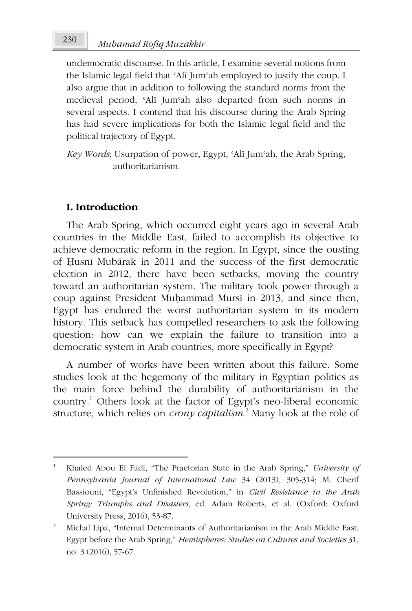undemocratic discourse. In this article, I examine several notions from the Islamic legal field that ʿAlī Jumʿah employed to justify the coup. I also argue that in addition to following the standard norms from the medieval period, ʿAlī Jumʿah also departed from such norms in several aspects. I contend that his discourse during the Arab Spring has had severe implications for both the Islamic legal field and the political trajectory of Egypt.

*Key Words*: Usurpation of power, Egypt, ʿAlī Jumʿah, the Arab Spring, authoritarianism.

## **I. Introduction**

The Arab Spring, which occurred eight years ago in several Arab countries in the Middle East, failed to accomplish its objective to achieve democratic reform in the region. In Egypt, since the ousting of Ḥusnī Mubārak in 2011 and the success of the first democratic election in 2012, there have been setbacks, moving the country toward an authoritarian system. The military took power through a coup against President Muḥammad Mursī in 2013, and since then, Egypt has endured the worst authoritarian system in its modern history. This setback has compelled researchers to ask the following question: how can we explain the failure to transition into a democratic system in Arab countries, more specifically in Egypt?

A number of works have been written about this failure. Some studies look at the hegemony of the military in Egyptian politics as the main force behind the durability of authoritarianism in the country.<sup>1</sup> Others look at the factor of Egypt's neo-liberal economic structure, which relies on *crony capitalism*. 2 Many look at the role of

<sup>1</sup> Khaled Abou El Fadl, "The Praetorian State in the Arab Spring," *University of Pennsylvania Journal of International Law* 34 (2013), 305-314; M. Cherif Bassiouni, "Egypt's Unfinished Revolution," in *Civil Resistance in the Arab Spring: Triumphs and Disasters*, ed. Adam Roberts, et al. (Oxford: Oxford University Press, 2016), 53-87.

<sup>2</sup> Michal Lipa, "Internal Determinants of Authoritarianism in the Arab Middle East. Egypt before the Arab Spring," *Hemispheres: Studies on Cultures and Societies* 31, no. 3 (2016), 57-67.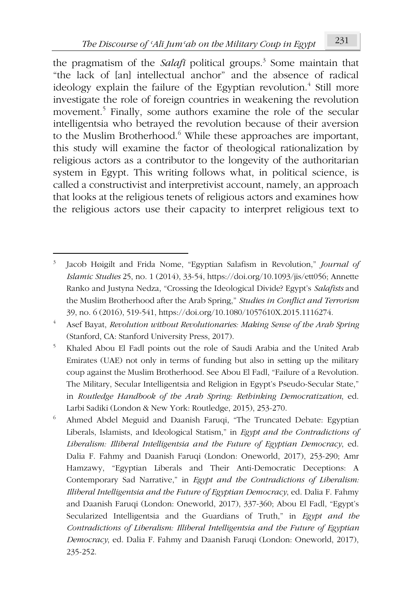the pragmatism of the *Salafi* political groups.<sup>3</sup> Some maintain that "the lack of [an] intellectual anchor" and the absence of radical ideology explain the failure of the Egyptian revolution.<sup>4</sup> Still more investigate the role of foreign countries in weakening the revolution movement.<sup>5</sup> Finally, some authors examine the role of the secular intelligentsia who betrayed the revolution because of their aversion to the Muslim Brotherhood.<sup>6</sup> While these approaches are important, this study will examine the factor of theological rationalization by religious actors as a contributor to the longevity of the authoritarian system in Egypt. This writing follows what, in political science, is called a constructivist and interpretivist account, namely, an approach that looks at the religious tenets of religious actors and examines how the religious actors use their capacity to interpret religious text to

<sup>3</sup> Jacob Høigilt and Frida Nome, "Egyptian Salafism in Revolution," *Journal of Islamic Studies* 25, no. 1 (2014), 33-54, https://doi.org/10.1093/jis/ett056; Annette Ranko and Justyna Nedza, "Crossing the Ideological Divide? Egypt's *Salafists* and the Muslim Brotherhood after the Arab Spring," *Studies in Conflict and Terrorism* 39, no. 6 (2016), 519-541, https://doi.org/10.1080/1057610X.2015.1116274.

<sup>4</sup> Asef Bayat, *Revolution without Revolutionaries: Making Sense of the Arab Spring* (Stanford, CA: Stanford University Press, 2017).

<sup>5</sup> Khaled Abou El Fadl points out the role of Saudi Arabia and the United Arab Emirates (UAE) not only in terms of funding but also in setting up the military coup against the Muslim Brotherhood. See Abou El Fadl, "Failure of a Revolution. The Military, Secular Intelligentsia and Religion in Egypt's Pseudo-Secular State," in *Routledge Handbook of the Arab Spring: Rethinking Democratization*, ed. Larbi Sadiki (London & New York: Routledge, 2015), 253-270.

<sup>6</sup> Ahmed Abdel Meguid and Daanish Faruqi, "The Truncated Debate: Egyptian Liberals, Islamists, and Ideological Statism," in *Egypt and the Contradictions of Liberalism: Illiberal Intelligentsia and the Future of Egyptian Democracy*, ed. Dalia F. Fahmy and Daanish Faruqi (London: Oneworld, 2017), 253-290; Amr Hamzawy, "Egyptian Liberals and Their Anti-Democratic Deceptions: A Contemporary Sad Narrative," in *Egypt and the Contradictions of Liberalism: Illiberal Intelligentsia and the Future of Egyptian Democracy*, ed. Dalia F. Fahmy and Daanish Faruqi (London: Oneworld, 2017), 337-360; Abou El Fadl, "Egypt's Secularized Intelligentsia and the Guardians of Truth," in *Egypt and the Contradictions of Liberalism: Illiberal Intelligentsia and the Future of Egyptian Democracy*, ed. Dalia F. Fahmy and Daanish Faruqi (London: Oneworld, 2017), 235-252.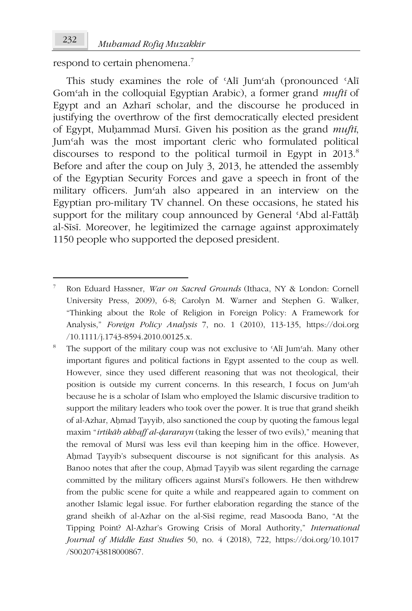respond to certain phenomena.<sup>7</sup>

This study examines the role of 'Alī Jum'ah (pronounced 'Alī Gomʿah in the colloquial Egyptian Arabic), a former grand *muftī* of Egypt and an Azharī scholar, and the discourse he produced in justifying the overthrow of the first democratically elected president of Egypt, Muḥammad Mursī. Given his position as the grand *muftī*, Jumʿah was the most important cleric who formulated political discourses to respond to the political turmoil in Egypt in 2013.<sup>8</sup> Before and after the coup on July 3, 2013, he attended the assembly of the Egyptian Security Forces and gave a speech in front of the military officers. Jumʿah also appeared in an interview on the Egyptian pro-military TV channel. On these occasions, he stated his support for the military coup announced by General ʿAbd al-Fattāḥ al-Sīsī. Moreover, he legitimized the carnage against approximately 1150 people who supported the deposed president.

<sup>7</sup> Ron Eduard Hassner, *War on Sacred Grounds* (Ithaca, NY & London: Cornell University Press, 2009), 6-8; Carolyn M. Warner and Stephen G. Walker, "Thinking about the Role of Religion in Foreign Policy: A Framework for Analysis," *Foreign Policy Analysis* 7, no. 1 (2010), 113-135, https://doi.org /10.1111/j.1743-8594.2010.00125.x.

<sup>8</sup> The support of the military coup was not exclusive to ʿAlī Jumʿah. Many other important figures and political factions in Egypt assented to the coup as well. However, since they used different reasoning that was not theological, their position is outside my current concerns. In this research, I focus on Jumʿah because he is a scholar of Islam who employed the Islamic discursive tradition to support the military leaders who took over the power. It is true that grand sheikh of al-Azhar, Aḥmad Ṭayyib, also sanctioned the coup by quoting the famous legal maxim "*irtikāb akhaff al-ḍararayn* (taking the lesser of two evils)," meaning that the removal of Mursī was less evil than keeping him in the office. However, Aḥmad Ṭayyib's subsequent discourse is not significant for this analysis. As Banoo notes that after the coup, Aḥmad Ṭayyib was silent regarding the carnage committed by the military officers against Mursī's followers. He then withdrew from the public scene for quite a while and reappeared again to comment on another Islamic legal issue. For further elaboration regarding the stance of the grand sheikh of al-Azhar on the al-Sīsī regime, read Masooda Bano, "At the Tipping Point? Al-Azhar's Growing Crisis of Moral Authority," *International Journal of Middle East Studies* 50, no. 4 (2018), 722, https://doi.org/10.1017 /S0020743818000867.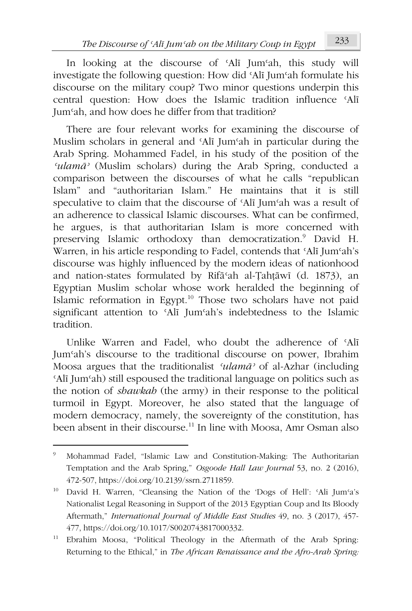In looking at the discourse of ʿAlī Jumʿah, this study will investigate the following question: How did ʿAlī Jumʿah formulate his discourse on the military coup? Two minor questions underpin this central question: How does the Islamic tradition influence ʿAlī Jumʿah, and how does he differ from that tradition?

There are four relevant works for examining the discourse of Muslim scholars in general and 'Alī Jum'ah in particular during the Arab Spring. Mohammed Fadel, in his study of the position of the *ʿulamāʾ* (Muslim scholars) during the Arab Spring, conducted a comparison between the discourses of what he calls "republican Islam" and "authoritarian Islam." He maintains that it is still speculative to claim that the discourse of ʿAlī Jumʿah was a result of an adherence to classical Islamic discourses. What can be confirmed, he argues, is that authoritarian Islam is more concerned with preserving Islamic orthodoxy than democratization.<sup>9</sup> David H. Warren, in his article responding to Fadel, contends that ʿAlī Jumʿah's discourse was highly influenced by the modern ideas of nationhood and nation-states formulated by Rifāʿah al-Ṭahṭāwī (d. 1873), an Egyptian Muslim scholar whose work heralded the beginning of Islamic reformation in Egypt.<sup>10</sup> Those two scholars have not paid significant attention to 'Alī Jum'ah's indebtedness to the Islamic tradition.

Unlike Warren and Fadel, who doubt the adherence of ʿAlī Jumʿah's discourse to the traditional discourse on power, Ibrahim Moosa argues that the traditionalist *ʿulamāʾ* of al-Azhar (including ʿAlī Jumʿah) still espoused the traditional language on politics such as the notion of *shawkah* (the army) in their response to the political turmoil in Egypt. Moreover, he also stated that the language of modern democracy, namely, the sovereignty of the constitution, has been absent in their discourse.<sup>11</sup> In line with Moosa, Amr Osman also

<sup>9</sup> Mohammad Fadel, "Islamic Law and Constitution-Making: The Authoritarian Temptation and the Arab Spring," *Osgoode Hall Law Journal* 53, no. 2 (2016), 472-507, https://doi.org/10.2139/ssrn.2711859.

<sup>10</sup> David H. Warren, "Cleansing the Nation of the 'Dogs of Hell': ʿAli Jumʿa's Nationalist Legal Reasoning in Support of the 2013 Egyptian Coup and Its Bloody Aftermath," *International Journal of Middle East Studies* 49, no. 3 (2017), 457- 477, https://doi.org/10.1017/S0020743817000332.

<sup>11</sup> Ebrahim Moosa, "Political Theology in the Aftermath of the Arab Spring: Returning to the Ethical," in *The African Renaissance and the Afro-Arab Spring:*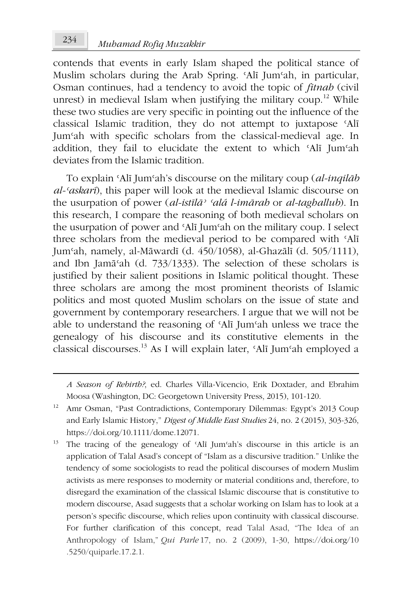contends that events in early Islam shaped the political stance of Muslim scholars during the Arab Spring. 'Alī Jum'ah, in particular, Osman continues, had a tendency to avoid the topic of *fitnah* (civil unrest) in medieval Islam when justifying the military coup.<sup>12</sup> While these two studies are very specific in pointing out the influence of the classical Islamic tradition, they do not attempt to juxtapose ʿAlī Jumʿah with specific scholars from the classical-medieval age. In addition, they fail to elucidate the extent to which ʿAlī Jumʿah deviates from the Islamic tradition.

To explain ʿAlī Jumʿah's discourse on the military coup (*al-inqilāb al-ʿaskarī*), this paper will look at the medieval Islamic discourse on the usurpation of power (*al-istīlāʾ ʿalá l-imārah* or *al-taghallub*). In this research, I compare the reasoning of both medieval scholars on the usurpation of power and ʿAlī Jumʿah on the military coup. I select three scholars from the medieval period to be compared with ʿAlī Jumʿah, namely, al-Māwardī (d. 450/1058), al-Ghazālī (d. 505/1111), and Ibn Jamāʿah (d. 733/1333). The selection of these scholars is justified by their salient positions in Islamic political thought. These three scholars are among the most prominent theorists of Islamic politics and most quoted Muslim scholars on the issue of state and government by contemporary researchers. I argue that we will not be able to understand the reasoning of ʿAlī Jumʿah unless we trace the genealogy of his discourse and its constitutive elements in the classical discourses.<sup>13</sup> As I will explain later, ʿAlī Jumʿah employed a

*A Season of Rebirth?*, ed. Charles Villa-Vicencio, Erik Doxtader, and Ebrahim Moosa (Washington, DC: Georgetown University Press, 2015), 101-120.

<sup>13</sup> The tracing of the genealogy of 'Alī Jum'ah's discourse in this article is an application of Talal Asad's concept of "Islam as a discursive tradition." Unlike the tendency of some sociologists to read the political discourses of modern Muslim activists as mere responses to modernity or material conditions and, therefore, to disregard the examination of the classical Islamic discourse that is constitutive to modern discourse, Asad suggests that a scholar working on Islam has to look at a person's specific discourse, which relies upon continuity with classical discourse. For further clarification of this concept, read Talal Asad, "The Idea of an Anthropology of Islam," *Qui Parle* 17, no. 2 (2009), 1-30, https://doi.org/10 .5250/quiparle.17.2.1.

<sup>&</sup>lt;sup>12</sup> Amr Osman, "Past Contradictions, Contemporary Dilemmas: Egypt's 2013 Coup and Early Islamic History," *Digest of Middle East Studies* 24, no. 2 (2015), 303-326, https://doi.org/10.1111/dome.12071.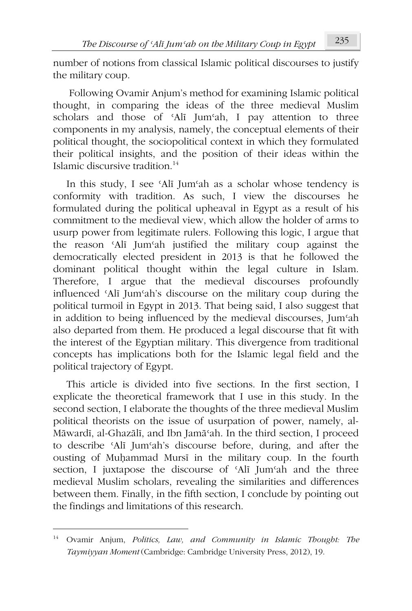number of notions from classical Islamic political discourses to justify the military coup.

 Following Ovamir Anjum's method for examining Islamic political thought, in comparing the ideas of the three medieval Muslim scholars and those of 'Alī Jum'ah, I pay attention to three components in my analysis, namely, the conceptual elements of their political thought, the sociopolitical context in which they formulated their political insights, and the position of their ideas within the Islamic discursive tradition. $14$ 

In this study, I see ʿAlī Jumʿah as a scholar whose tendency is conformity with tradition. As such, I view the discourses he formulated during the political upheaval in Egypt as a result of his commitment to the medieval view, which allow the holder of arms to usurp power from legitimate rulers. Following this logic, I argue that the reason ʿAlī Jumʿah justified the military coup against the democratically elected president in 2013 is that he followed the dominant political thought within the legal culture in Islam. Therefore, I argue that the medieval discourses profoundly influenced ʿAlī Jumʿah's discourse on the military coup during the political turmoil in Egypt in 2013. That being said, I also suggest that in addition to being influenced by the medieval discourses, Jumʿah also departed from them. He produced a legal discourse that fit with the interest of the Egyptian military. This divergence from traditional concepts has implications both for the Islamic legal field and the political trajectory of Egypt.

This article is divided into five sections. In the first section, I explicate the theoretical framework that I use in this study. In the second section, I elaborate the thoughts of the three medieval Muslim political theorists on the issue of usurpation of power, namely, al-Māwardī, al-Ghazālī, and Ibn Jamāʿah. In the third section, I proceed to describe ʿAlī Jumʿah's discourse before, during, and after the ousting of Muḥammad Mursī in the military coup. In the fourth section, I juxtapose the discourse of ʿAlī Jumʿah and the three medieval Muslim scholars, revealing the similarities and differences between them. Finally, in the fifth section, I conclude by pointing out the findings and limitations of this research.

<sup>14</sup> Ovamir Anjum, *Politics, Law, and Community in Islamic Thought: The Taymiyyan Moment* (Cambridge: Cambridge University Press, 2012), 19.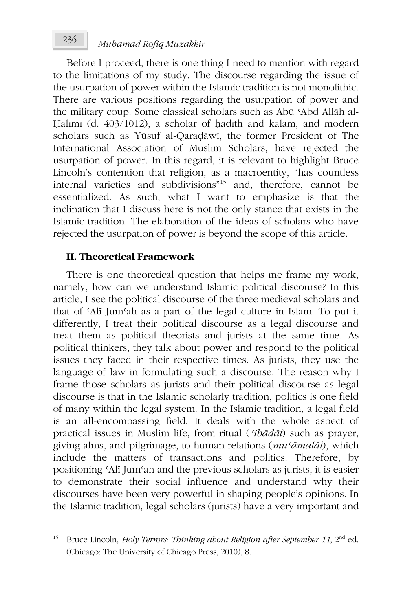Before I proceed, there is one thing I need to mention with regard to the limitations of my study. The discourse regarding the issue of the usurpation of power within the Islamic tradition is not monolithic. There are various positions regarding the usurpation of power and the military coup. Some classical scholars such as Abū ʿAbd Allāh al-Halīmī (d. 403/1012), a scholar of hadīth and kalām, and modern scholars such as Yūsuf al-Qaraḍāwī, the former President of The International Association of Muslim Scholars, have rejected the usurpation of power. In this regard, it is relevant to highlight Bruce Lincoln's contention that religion, as a macroentity, "has countless internal varieties and subdivisions"<sup>15</sup> and, therefore, cannot be essentialized. As such, what I want to emphasize is that the inclination that I discuss here is not the only stance that exists in the Islamic tradition. The elaboration of the ideas of scholars who have rejected the usurpation of power is beyond the scope of this article.

## **II. Theoretical Framework**

There is one theoretical question that helps me frame my work, namely, how can we understand Islamic political discourse? In this article, I see the political discourse of the three medieval scholars and that of ʿAlī Jumʿah as a part of the legal culture in Islam. To put it differently, I treat their political discourse as a legal discourse and treat them as political theorists and jurists at the same time. As political thinkers, they talk about power and respond to the political issues they faced in their respective times. As jurists, they use the language of law in formulating such a discourse. The reason why I frame those scholars as jurists and their political discourse as legal discourse is that in the Islamic scholarly tradition, politics is one field of many within the legal system. In the Islamic tradition, a legal field is an all-encompassing field. It deals with the whole aspect of practical issues in Muslim life, from ritual (*ʿibādāt*) such as prayer, giving alms, and pilgrimage, to human relations (*muʿāmalāt*), which include the matters of transactions and politics. Therefore, by positioning ʿAlī Jumʿah and the previous scholars as jurists, it is easier to demonstrate their social influence and understand why their discourses have been very powerful in shaping people's opinions. In the Islamic tradition, legal scholars (jurists) have a very important and

<sup>&</sup>lt;sup>15</sup> Bruce Lincoln, *Holy Terrors: Thinking about Religion after September 11*, 2<sup>nd</sup> ed. (Chicago: The University of Chicago Press, 2010), 8.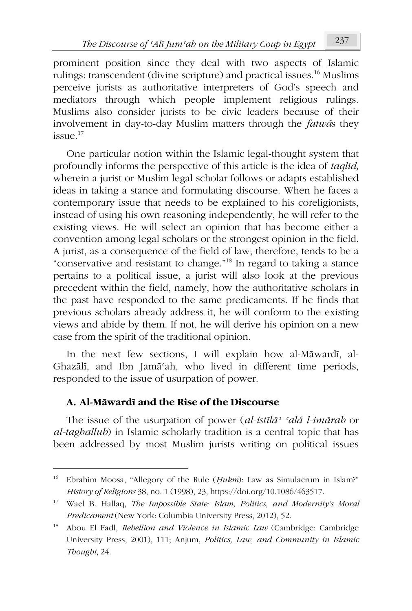prominent position since they deal with two aspects of Islamic rulings: transcendent (divine scripture) and practical issues.<sup>16</sup> Muslims perceive jurists as authoritative interpreters of God's speech and mediators through which people implement religious rulings. Muslims also consider jurists to be civic leaders because of their involvement in day-to-day Muslim matters through the *fatwá*s they  $issite$ <sup>17</sup>

One particular notion within the Islamic legal-thought system that profoundly informs the perspective of this article is the idea of *taqlīd,* wherein a jurist or Muslim legal scholar follows or adapts established ideas in taking a stance and formulating discourse. When he faces a contemporary issue that needs to be explained to his coreligionists, instead of using his own reasoning independently, he will refer to the existing views. He will select an opinion that has become either a convention among legal scholars or the strongest opinion in the field. A jurist, as a consequence of the field of law, therefore, tends to be a "conservative and resistant to change."<sup>18</sup> In regard to taking a stance pertains to a political issue, a jurist will also look at the previous precedent within the field, namely, how the authoritative scholars in the past have responded to the same predicaments. If he finds that previous scholars already address it, he will conform to the existing views and abide by them. If not, he will derive his opinion on a new case from the spirit of the traditional opinion.

In the next few sections, I will explain how al-Māwardī, al-Ghazālī, and Ibn Jamāʿah, who lived in different time periods, responded to the issue of usurpation of power.

# **A. Al-Māwardī and the Rise of the Discourse**

The issue of the usurpation of power (*al-istīlāʾ ʿalá l-imārah* or *al-taghallub*) in Islamic scholarly tradition is a central topic that has been addressed by most Muslim jurists writing on political issues

<sup>16</sup> Ebrahim Moosa, "Allegory of the Rule (*Ḥukm*): Law as Simulacrum in Islam?" *History of Religions* 38, no. 1 (1998), 23, https://doi.org/10.1086/463517.

<sup>17</sup> Wael B. Hallaq, *The Impossible State: Islam, Politics, and Modernity's Moral Predicament* (New York: Columbia University Press, 2012), 52.

<sup>18</sup> Abou El Fadl, *Rebellion and Violence in Islamic Law* (Cambridge: Cambridge University Press, 2001), 111; Anjum, *Politics, Law, and Community in Islamic Thought*, 24.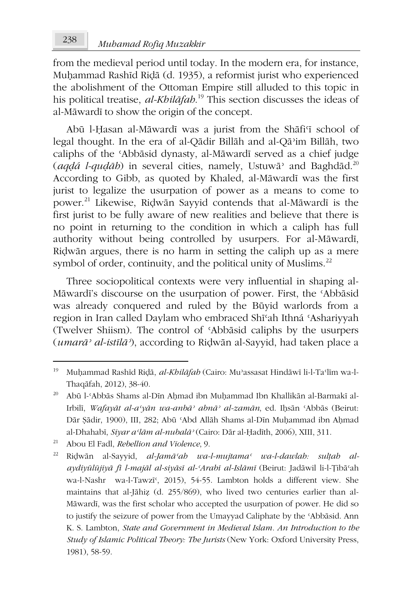from the medieval period until today. In the modern era, for instance, Muḥammad Rashīd Riḍā (d. 1935), a reformist jurist who experienced the abolishment of the Ottoman Empire still alluded to this topic in his political treatise, *al-Khilāfah*. <sup>19</sup> This section discusses the ideas of al-Māwardī to show the origin of the concept.

Abū l-Ḥasan al-Māwardī was a jurist from the Shāfi'ī school of legal thought. In the era of al-Qādir Billāh and al-Qāʾim Billāh, two caliphs of the ʿAbbāsid dynasty, al-Māwardī served as a chief judge (*aqḍá l-quḍāh*) in several cities, namely, Ustuwāʾ and Baghdād.<sup>20</sup> According to Gibb, as quoted by Khaled, al-Māwardī was the first jurist to legalize the usurpation of power as a means to come to power.<sup>21</sup> Likewise, Riḍwān Sayyid contends that al-Māwardī is the first jurist to be fully aware of new realities and believe that there is no point in returning to the condition in which a caliph has full authority without being controlled by usurpers. For al-Māwardī, Riḍwān argues, there is no harm in setting the caliph up as a mere symbol of order, continuity, and the political unity of Muslims.<sup>22</sup>

Three sociopolitical contexts were very influential in shaping al-Māwardī's discourse on the usurpation of power. First, the ʿAbbāsid was already conquered and ruled by the Būyid warlords from a region in Iran called Daylam who embraced Shīʿah Ithná ʿAshariyyah (Twelver Shiism). The control of ʿAbbāsid caliphs by the usurpers (*umarāʾ al-istīlāʾ*), according to Riḍwān al-Sayyid, had taken place a

<sup>19</sup> Muḥammad Rashīd Riḍā, *al-Khilāfah* (Cairo: Muʾassasat Hindāwī li-l-Taʿlīm wa-l-Thaqāfah, 2012), 38-40.

<sup>20</sup> Abū l-ʿAbbās Shams al-Dīn Aḥmad ibn Muḥammad Ibn Khallikān al-Barmakī al-Irbilī, *Wafayāt al-aʿyān wa-anbāʾ abnāʾ al-zamān*, ed. Iḥsān ʿAbbās (Beirut: Dār Ṣādir, 1900), III, 282; Abū ʿAbd Allāh Shams al-Dīn Muḥammad ibn Aḥmad al-Dhahabī, *Siyar aʿlām al-nubalāʾ* (Cairo: Dār al-Ḥadīth, 2006), XIII, 311.

<sup>21</sup> Abou El Fadl, *Rebellion and Violence*, 9.

<sup>22</sup> Riḍwān al-Sayyid, *al-Jamāʿah wa-l-mujtamaʿ wa-l-dawlah: sulṭah alaydiyūlūjiyā fī l-majāl al-siyāsī al-ʿArabī al-Islāmī* (Beirut: Jadāwil li-l-Ṭibāʿah wa-l-Nashr wa-l-Tawzī<sup>c</sup>, 2015), 54-55. Lambton holds a different view. She maintains that al-Jāhiẓ (d. 255/869), who lived two centuries earlier than al-Māwardī, was the first scholar who accepted the usurpation of power. He did so to justify the seizure of power from the Umayyad Caliphate by the ʿAbbāsid. Ann K. S. Lambton, *State and Government in Medieval Islam. An Introduction to the Study of Islamic Political Theory: The Jurists* (New York: Oxford University Press, 1981), 58-59.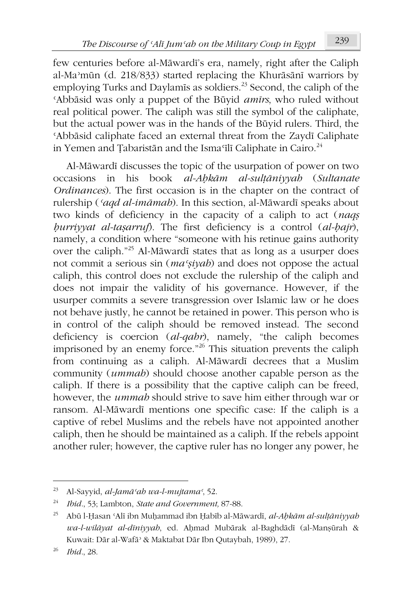few centuries before al-Māwardī's era, namely, right after the Caliph al-Maʾmūn (d. 218/833) started replacing the Khurāsānī warriors by employing Turks and Daylamis as soldiers.<sup>23</sup> Second, the caliph of the ʿAbbāsid was only a puppet of the Būyid *amīrs*, who ruled without real political power. The caliph was still the symbol of the caliphate, but the actual power was in the hands of the Būyid rulers. Third, the ʿAbbāsid caliphate faced an external threat from the Zaydī Caliphate in Yemen and Țabaristān and the Isma'ilī Caliphate in Cairo.<sup>24</sup>

Al-Māwardī discusses the topic of the usurpation of power on two occasions in his book *al-Aḥkām al-sulṭāniyyah* (*Sultanate Ordinances*). The first occasion is in the chapter on the contract of rulership (*ʿaqd al-imāmah*). In this section, al-Māwardī speaks about two kinds of deficiency in the capacity of a caliph to act (*naqṣ ḥurriyyat al-taṣarruf*). The first deficiency is a control (*al-ḥajr*), namely, a condition where "someone with his retinue gains authority over the caliph."<sup>25</sup> Al-Māwardī states that as long as a usurper does not commit a serious sin (*maʿṣiyah*) and does not oppose the actual caliph, this control does not exclude the rulership of the caliph and does not impair the validity of his governance. However, if the usurper commits a severe transgression over Islamic law or he does not behave justly, he cannot be retained in power. This person who is in control of the caliph should be removed instead. The second deficiency is coercion (*al-qahr*), namely, "the caliph becomes imprisoned by an enemy force."<sup>26</sup> This situation prevents the caliph from continuing as a caliph. Al-Māwardī decrees that a Muslim community (*ummah*) should choose another capable person as the caliph. If there is a possibility that the captive caliph can be freed, however, the *ummah* should strive to save him either through war or ransom. Al-Māwardī mentions one specific case: If the caliph is a captive of rebel Muslims and the rebels have not appointed another caliph, then he should be maintained as a caliph. If the rebels appoint another ruler; however, the captive ruler has no longer any power, he

<sup>23</sup> Al-Sayyid, *al-Jamāʿah wa-l-mujtamaʿ*, 52.

<sup>24</sup> *Ibid.*, 53; Lambton, *State and Government,* 87-88.

<sup>25</sup> Abū l-Ḥasan ʿAlī ibn Muḥammad ibn Ḥabīb al-Māwardī, *al-Aḥkām al-sulṭāniyyah wa-l-wilāyat al-dīniyyah*, ed. Aḥmad Mubārak al-Baghdādī (al-Manṣūrah & Kuwait: Dār al-Wafāʾ & Maktabat Dār Ibn Qutaybah, 1989), 27.

<sup>26</sup> *Ibid.*, 28.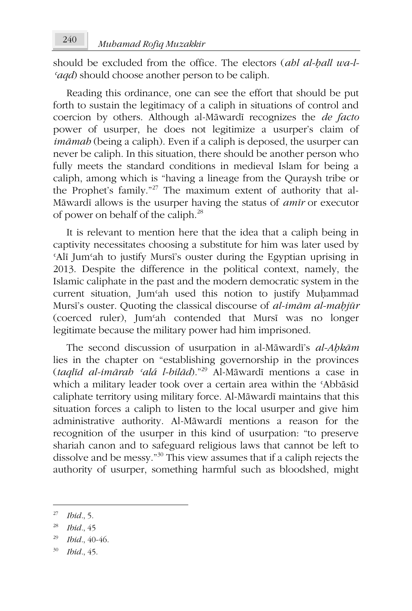should be excluded from the office. The electors (*ahl al-ḥall wa-l-ʿaqd*) should choose another person to be caliph.

Reading this ordinance, one can see the effort that should be put forth to sustain the legitimacy of a caliph in situations of control and coercion by others. Although al-Māwardī recognizes the *de facto* power of usurper, he does not legitimize a usurper's claim of *imāmah* (being a caliph). Even if a caliph is deposed, the usurper can never be caliph. In this situation, there should be another person who fully meets the standard conditions in medieval Islam for being a caliph, among which is "having a lineage from the Quraysh tribe or the Prophet's family."<sup>27</sup> The maximum extent of authority that al-Māwardī allows is the usurper having the status of *amīr* or executor of power on behalf of the caliph.<sup>28</sup>

It is relevant to mention here that the idea that a caliph being in captivity necessitates choosing a substitute for him was later used by ʿAlī Jumʿah to justify Mursī's ouster during the Egyptian uprising in 2013. Despite the difference in the political context, namely, the Islamic caliphate in the past and the modern democratic system in the current situation, Jumʿah used this notion to justify Muḥammad Mursī's ouster. Quoting the classical discourse of *al-imām al-maḥjūr* (coerced ruler), Jumʿah contended that Mursī was no longer legitimate because the military power had him imprisoned.

The second discussion of usurpation in al-Māwardī's *al-Aḥkām* lies in the chapter on "establishing governorship in the provinces (*taqlīd al-imārah ʿalá l-bilād*)."<sup>29</sup> Al-Māwardī mentions a case in which a military leader took over a certain area within the ʿAbbāsid caliphate territory using military force. Al-Māwardī maintains that this situation forces a caliph to listen to the local usurper and give him administrative authority. Al-Māwardī mentions a reason for the recognition of the usurper in this kind of usurpation: "to preserve shariah canon and to safeguard religious laws that cannot be left to dissolve and be messy."<sup>30</sup> This view assumes that if a caliph rejects the authority of usurper, something harmful such as bloodshed, might

<sup>30</sup> *Ibid.*, 45.

<sup>27</sup> *Ibid.*, 5.

<sup>28</sup> *Ibid.*, 45

<sup>29</sup> *Ibid.*, 40-46.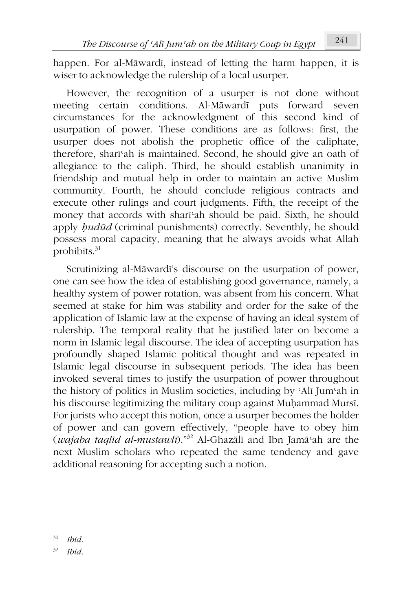happen. For al-Māwardī, instead of letting the harm happen, it is wiser to acknowledge the rulership of a local usurper.

However, the recognition of a usurper is not done without meeting certain conditions. Al-Māwardī puts forward seven circumstances for the acknowledgment of this second kind of usurpation of power. These conditions are as follows: first, the usurper does not abolish the prophetic office of the caliphate, therefore, sharīʿah is maintained. Second, he should give an oath of allegiance to the caliph*.* Third, he should establish unanimity in friendship and mutual help in order to maintain an active Muslim community. Fourth, he should conclude religious contracts and execute other rulings and court judgments. Fifth, the receipt of the money that accords with sharīʿah should be paid. Sixth, he should apply *hudūd* (criminal punishments) correctly. Seventhly, he should possess moral capacity, meaning that he always avoids what Allah prohibits. $31$ 

Scrutinizing al-Māwardī's discourse on the usurpation of power, one can see how the idea of establishing good governance, namely, a healthy system of power rotation, was absent from his concern. What seemed at stake for him was stability and order for the sake of the application of Islamic law at the expense of having an ideal system of rulership. The temporal reality that he justified later on become a norm in Islamic legal discourse. The idea of accepting usurpation has profoundly shaped Islamic political thought and was repeated in Islamic legal discourse in subsequent periods. The idea has been invoked several times to justify the usurpation of power throughout the history of politics in Muslim societies, including by ʿAlī Jumʿah in his discourse legitimizing the military coup against Muḥammad Mursī. For jurists who accept this notion, once a usurper becomes the holder of power and can govern effectively, "people have to obey him (*wajaba taqlīd al-mustawlī*)."<sup>32</sup> Al-Ghazālī and Ibn Jamāʿah are the next Muslim scholars who repeated the same tendency and gave additional reasoning for accepting such a notion.

<sup>31</sup> *Ibid.*

<sup>32</sup> *Ibid.*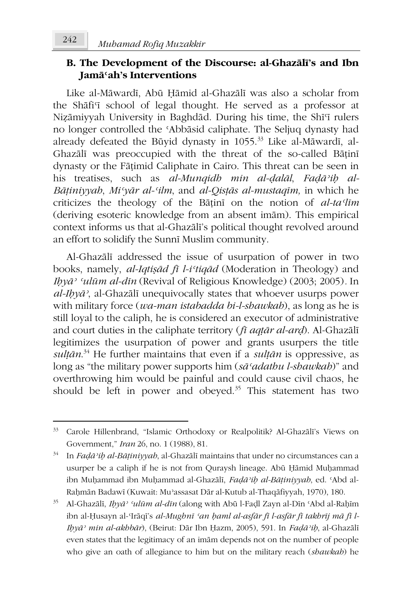# **B. The Development of the Discourse: al-Ghazālī's and Ibn Jamāʿah's Interventions**

Like al-Māwardī, Abū Ḥāmid al-Ghazālī was also a scholar from the Shāfi'i school of legal thought. He served as a professor at Niẓāmiyyah University in Baghdād. During his time, the Shīʿī rulers no longer controlled the ʿAbbāsid caliphate. The Seljuq dynasty had already defeated the Būyid dynasty in 1055.<sup>33</sup> Like al-Māwardī, al-Ghazālī was preoccupied with the threat of the so-called Bāṭinī dynasty or the Fāṭimid Caliphate in Cairo. This threat can be seen in his treatises, such as *al-Munqidh min al-ḍalāl*, *Faḍāʾiḥ al-Bāṭiniyyah*, *Miʿyār al-ʿilm*, and *al-Qisṭās al-mustaqīm,* in which he criticizes the theology of the Bāṭinī on the notion of *al-taʿlīm* (deriving esoteric knowledge from an absent imām). This empirical context informs us that al-Ghazālī's political thought revolved around an effort to solidify the Sunnī Muslim community.

Al-Ghazālī addressed the issue of usurpation of power in two books, namely, *al-Iqtiṣād fī l-iʿtiqād* (Moderation in Theology) and *Iḥyāʾ ʿulūm al-dīn* (Revival of Religious Knowledge) (2003; 2005)*.* In *al-Iḥyāʾ*, al-Ghazālī unequivocally states that whoever usurps power with military force (*wa-man istabadda bi-l-shawkah*), as long as he is still loyal to the caliph, he is considered an executor of administrative and court duties in the caliphate territory (*fī aqṭār al-arḍ*). Al-Ghazālī legitimizes the usurpation of power and grants usurpers the title *sulṭān*. <sup>34</sup> He further maintains that even if a *sulṭān* is oppressive, as long as "the military power supports him (*sāʿadathu l-shawkah*)" and overthrowing him would be painful and could cause civil chaos, he should be left in power and obeyed.<sup>35</sup> This statement has two

<sup>33</sup> Carole Hillenbrand, "Islamic Orthodoxy or Realpolitik? Al-Ghazālī's Views on Government," *Iran* 26, no. 1 (1988), 81.

<sup>34</sup> In *Faḍāʾiḥ al-Bāṭiniyyah*, al-Ghazālī maintains that under no circumstances can a usurper be a caliph if he is not from Quraysh lineage. Abū Ḥāmid Muḥammad ibn Muḥammad ibn Muḥammad al-Ghazālī, *Faḍāʾiḥ al-Bāṭiniyyah*, ed. ʿAbd al-Raḥmān Badawī (Kuwait: Muʾassasat Dār al-Kutub al-Thaqāfiyyah, 1970), 180.

<sup>35</sup> Al-Ghazālī, *Iḥyāʾ ʿulūm al-dīn* (along with Abū l-Faḍl Zayn al-Dīn ʿAbd al-Raḥīm ibn al-Ḥusayn al-ʿIrāqī's *al-Mughnī ʿan ḥaml al-asfār fī l-asfār fī takhrīj mā fī l-Iḥyāʾ min al-akhbār*), (Beirut: Dār Ibn Ḥazm, 2005), 591. In *Faḍāʾiḥ*, al-Ghazālī even states that the legitimacy of an imām depends not on the number of people who give an oath of allegiance to him but on the military reach (*shawkah*) he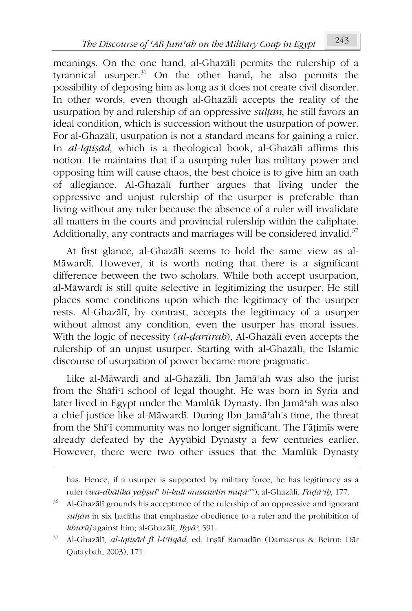meanings. On the one hand, al-Ghazālī permits the rulership of a tyrannical usurper. $36$  On the other hand, he also permits the possibility of deposing him as long as it does not create civil disorder. In other words, even though al-Ghazālī accepts the reality of the usurpation by and rulership of an oppressive *sulṭān*, he still favors an ideal condition, which is succession without the usurpation of power. For al-Ghazālī, usurpation is not a standard means for gaining a ruler. In *al-Iqtiṣād*, which is a theological book, al-Ghazālī affirms this notion. He maintains that if a usurping ruler has military power and opposing him will cause chaos, the best choice is to give him an oath of allegiance. Al-Ghazālī further argues that living under the oppressive and unjust rulership of the usurper is preferable than living without any ruler because the absence of a ruler will invalidate all matters in the courts and provincial rulership within the caliphate. Additionally, any contracts and marriages will be considered invalid.<sup>37</sup>

At first glance, al-Ghazālī seems to hold the same view as al-Māwardī. However, it is worth noting that there is a significant difference between the two scholars. While both accept usurpation, al-Māwardī is still quite selective in legitimizing the usurper. He still places some conditions upon which the legitimacy of the usurper rests. Al-Ghazālī, by contrast, accepts the legitimacy of a usurper without almost any condition, even the usurper has moral issues. With the logic of necessity (*al-ḍarūrah*), Al-Ghazālī even accepts the rulership of an unjust usurper. Starting with al-Ghazālī, the Islamic discourse of usurpation of power became more pragmatic.

Like al-Māwardī and al-Ghazālī, Ibn Jamāʿah was also the jurist from the Shafi'i school of legal thought. He was born in Syria and later lived in Egypt under the Mamlūk Dynasty. Ibn Jamāʿah was also a chief justice like al-Māwardī. During Ibn Jamāʿah's time, the threat from the Shīʿī community was no longer significant. The Fāṭimīs were already defeated by the Ayyūbid Dynasty a few centuries earlier. However, there were two other issues that the Mamlūk Dynasty

has. Hence, if a usurper is supported by military force, he has legitimacy as a ruler (*wa-dhālika yaḥṣul<sup>u</sup> bi-kull mustawlin muṭāʿin*); al-Ghazālī, *Faḍāʾiḥ*, 177.

<sup>&</sup>lt;sup>36</sup> Al-Ghazālī grounds his acceptance of the rulership of an oppressive and ignorant *sulṭān* in six ḥadīths that emphasize obedience to a ruler and the prohibition of *khurūj* against him; al-Ghazālī, *Iḥyāʾ*, 591.

<sup>37</sup> Al-Ghazālī, *al-Iqtiṣād fī l-iʿtiqād*, ed. Inṣāf Ramaḍān (Damascus & Beirut: Dār Qutaybah, 2003), 171.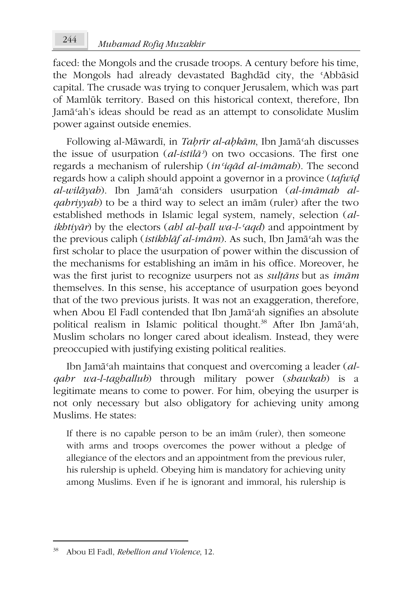faced: the Mongols and the crusade troops. A century before his time, the Mongols had already devastated Baghdād city, the ʿAbbāsid capital. The crusade was trying to conquer Jerusalem, which was part of Mamlūk territory. Based on this historical context, therefore, Ibn Jamāʿah's ideas should be read as an attempt to consolidate Muslim power against outside enemies.

Following al-Māwardī, in *Taḥrīr al-aḥkām*, Ibn Jamāʿah discusses the issue of usurpation (*al-istīlāʾ*) on two occasions. The first one regards a mechanism of rulership (*inʿiqād al-imāmah*). The second regards how a caliph should appoint a governor in a province (*tafwīḍ al-wilāyah*). Ibn Jamāʿah considers usurpation (*al-imāmah alqahriyyah*) to be a third way to select an imām (ruler) after the two established methods in Islamic legal system, namely, selection (*alikhtiyār*) by the electors (*ahl al-ḥall wa-l-ʿaqd*) and appointment by the previous caliph (*istikhlāf al-imām*). As such, Ibn Jamāʿah was the first scholar to place the usurpation of power within the discussion of the mechanisms for establishing an imām in his office. Moreover, he was the first jurist to recognize usurpers not as *sulṭāns* but as *imām* themselves. In this sense, his acceptance of usurpation goes beyond that of the two previous jurists. It was not an exaggeration, therefore, when Abou El Fadl contended that Ibn Jamāʿah signifies an absolute political realism in Islamic political thought.<sup>38</sup> After Ibn Jamāʿah, Muslim scholars no longer cared about idealism. Instead, they were preoccupied with justifying existing political realities.

Ibn Jamāʿah maintains that conquest and overcoming a leader (*alqahr wa-l-taghallub*) through military power (*shawkah*) is a legitimate means to come to power. For him, obeying the usurper is not only necessary but also obligatory for achieving unity among Muslims. He states:

If there is no capable person to be an imām (ruler), then someone with arms and troops overcomes the power without a pledge of allegiance of the electors and an appointment from the previous ruler, his rulership is upheld. Obeying him is mandatory for achieving unity among Muslims. Even if he is ignorant and immoral, his rulership is

<sup>38</sup> Abou El Fadl, *Rebellion and Violence*, 12.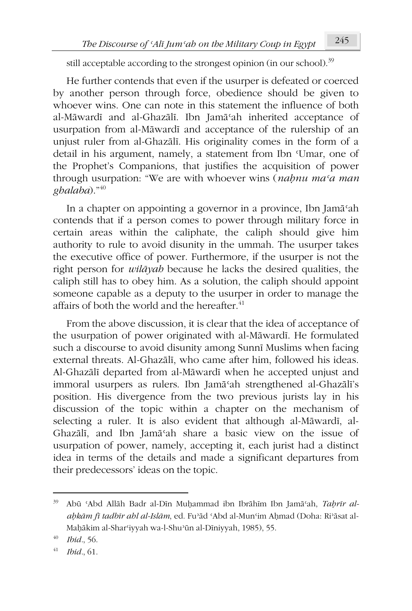still acceptable according to the strongest opinion (in our school).<sup>39</sup>

He further contends that even if the usurper is defeated or coerced by another person through force, obedience should be given to whoever wins. One can note in this statement the influence of both al-Māwardī and al-Ghazālī. Ibn Jamāʿah inherited acceptance of usurpation from al-Māwardī and acceptance of the rulership of an unjust ruler from al-Ghazālī. His originality comes in the form of a detail in his argument, namely, a statement from Ibn ʿUmar, one of the Prophet's Companions, that justifies the acquisition of power through usurpation: "We are with whoever wins (*naḥnu maʿa man ghalaba*)."<sup>40</sup>

In a chapter on appointing a governor in a province, Ibn Jamāʿah contends that if a person comes to power through military force in certain areas within the caliphate, the caliph should give him authority to rule to avoid disunity in the ummah. The usurper takes the executive office of power. Furthermore, if the usurper is not the right person for *wilāyah* because he lacks the desired qualities, the caliph still has to obey him. As a solution, the caliph should appoint someone capable as a deputy to the usurper in order to manage the affairs of both the world and the hereafter.<sup>41</sup>

From the above discussion, it is clear that the idea of acceptance of the usurpation of power originated with al-Māwardī. He formulated such a discourse to avoid disunity among Sunnī Muslims when facing external threats. Al-Ghazālī, who came after him, followed his ideas. Al-Ghazālī departed from al-Māwardī when he accepted unjust and immoral usurpers as rulers. Ibn Jamāʿah strengthened al-Ghazālī's position. His divergence from the two previous jurists lay in his discussion of the topic within a chapter on the mechanism of selecting a ruler. It is also evident that although al-Māwardī, al-Ghazālī, and Ibn Jamāʿah share a basic view on the issue of usurpation of power, namely, accepting it, each jurist had a distinct idea in terms of the details and made a significant departures from their predecessors' ideas on the topic.

<sup>39</sup> Abū ʿAbd Allāh Badr al-Dīn Muḥammad ibn Ibrāhīm Ibn Jamāʿah, *Taḥrīr alaḥkām fī tadbīr ahl al-Islām*, ed. Fuʾād ʿAbd al-Munʿim Aḥmad (Doha: Riʾāsat al-Maḥākim al-Sharʿiyyah wa-l-Shuʾūn al-Dīniyyah, 1985), 55.

*Ibid.*, 56.

<sup>41</sup> *Ibid.*, 61.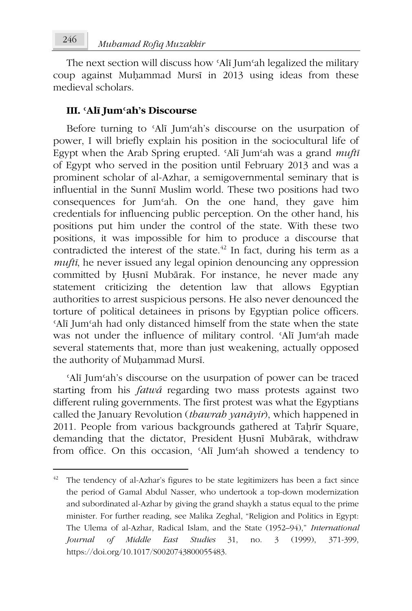The next section will discuss how ʿAlī Jumʿah legalized the military coup against Muḥammad Mursī in 2013 using ideas from these medieval scholars.

### **III. ʿAlī Jumʿah's Discourse**

Before turning to 'Alī Jum'ah's discourse on the usurpation of power, I will briefly explain his position in the sociocultural life of Egypt when the Arab Spring erupted. ʿAlī Jumʿah was a grand *muftī* of Egypt who served in the position until February 2013 and was a prominent scholar of al-Azhar, a semigovernmental seminary that is influential in the Sunnī Muslim world. These two positions had two consequences for Jumʿah. On the one hand, they gave him credentials for influencing public perception. On the other hand, his positions put him under the control of the state. With these two positions, it was impossible for him to produce a discourse that contradicted the interest of the state. $^{42}$  In fact, during his term as a *muftī*, he never issued any legal opinion denouncing any oppression committed by Ḥusnī Mubārak. For instance, he never made any statement criticizing the detention law that allows Egyptian authorities to arrest suspicious persons. He also never denounced the torture of political detainees in prisons by Egyptian police officers. ʿAlī Jumʿah had only distanced himself from the state when the state was not under the influence of military control. ʿAlī Jumʿah made several statements that, more than just weakening, actually opposed the authority of Muḥammad Mursī.

ʿAlī Jumʿah's discourse on the usurpation of power can be traced starting from his *fatwá* regarding two mass protests against two different ruling governments. The first protest was what the Egyptians called the January Revolution (*thawrah yanāyir*), which happened in 2011. People from various backgrounds gathered at Taḥrīr Square, demanding that the dictator, President Ḥusnī Mubārak, withdraw from office. On this occasion, ʿAlī Jumʿah showed a tendency to

 $42$  The tendency of al-Azhar's figures to be state legitimizers has been a fact since the period of Gamal Abdul Nasser, who undertook a top-down modernization and subordinated al-Azhar by giving the grand shaykh a status equal to the prime minister. For further reading, see Malika Zeghal, "Religion and Politics in Egypt: The Ulema of al-Azhar, Radical Islam, and the State (1952–94)," *International Journal of Middle East Studies* 31, no. 3 (1999), 371-399, https://doi.org/10.1017/S0020743800055483.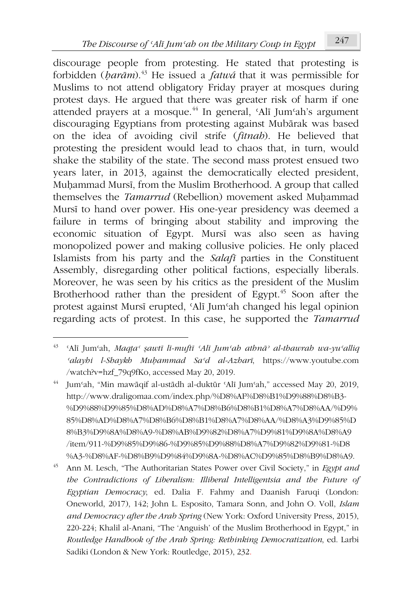discourage people from protesting. He stated that protesting is forbidden (*ḥarām*).<sup>43</sup> He issued a *fatwá* that it was permissible for Muslims to not attend obligatory Friday prayer at mosques during protest days. He argued that there was greater risk of harm if one attended prayers at a mosque.<sup>44</sup> In general, 'Alī Jum'ah's argument discouraging Egyptians from protesting against Mubārak was based on the idea of avoiding civil strife (*fitnah*). He believed that protesting the president would lead to chaos that, in turn, would shake the stability of the state. The second mass protest ensued two years later, in 2013, against the democratically elected president, Muḥammad Mursī, from the Muslim Brotherhood. A group that called themselves the *Tamarrud* (Rebellion) movement asked Muhammad Mursī to hand over power. His one-year presidency was deemed a failure in terms of bringing about stability and improving the economic situation of Egypt. Mursī was also seen as having monopolized power and making collusive policies. He only placed Islamists from his party and the *Salafī* parties in the Constituent Assembly, disregarding other political factions, especially liberals. Moreover, he was seen by his critics as the president of the Muslim Brotherhood rather than the president of Egypt.<sup>45</sup> Soon after the protest against Mursī erupted, ʿAlī Jumʿah changed his legal opinion regarding acts of protest. In this case, he supported the *Tamarrud*

<sup>43</sup> ʿAlī Jumʿah, *Maqṭaʿ ṣawtī lī-muftī ʿAlī Jumʿah athnāʾ al-thawrah wa-yuʿalliq ʿalayhi l-Shaykh Muḥammad Saʿd al-Azharī*, https://www.youtube.com /watch?v=hzf\_79q9fKo, accessed May 20, 2019.

<sup>44</sup> Jumʿah, "Min mawāqif al-ustādh al-duktūr ʿAlī Jumʿah," accessed May 20, 2019, http://www.draligomaa.com/index.php/%D8%AF%D8%B1%D9%88%D8%B3- %D9%88%D9%85%D8%AD%D8%A7%D8%B6%D8%B1%D8%A7%D8%AA/%D9% 85%D8%AD%D8%A7%D8%B6%D8%B1%D8%A7%D8%AA/%D8%A3%D9%85%D 8%B3%D9%8A%D8%A9-%D8%AB%D9%82%D8%A7%D9%81%D9%8A%D8%A9 /item/911-%D9%85%D9%86-%D9%85%D9%88%D8%A7%D9%82%D9%81-%D8 %A3-%D8%AF-%D8%B9%D9%84%D9%8A-%D8%AC%D9%85%D8%B9%D8%A9.

<sup>45</sup> Ann M. Lesch, "The Authoritarian States Power over Civil Society," in *Egypt and the Contradictions of Liberalism: Illiberal Intelligentsia and the Future of Egyptian Democracy*, ed. Dalia F. Fahmy and Daanish Faruqi (London: Oneworld, 2017), 142; John L. Esposito, Tamara Sonn, and John O. Voll, *Islam and Democracy after the Arab Spring* (New York: Oxford University Press, 2015), 220-224; Khalil al-Anani, "The 'Anguish' of the Muslim Brotherhood in Egypt," in *Routledge Handbook of the Arab Spring: Rethinking Democratization*, ed. Larbi Sadiki (London & New York: Routledge, 2015), 232.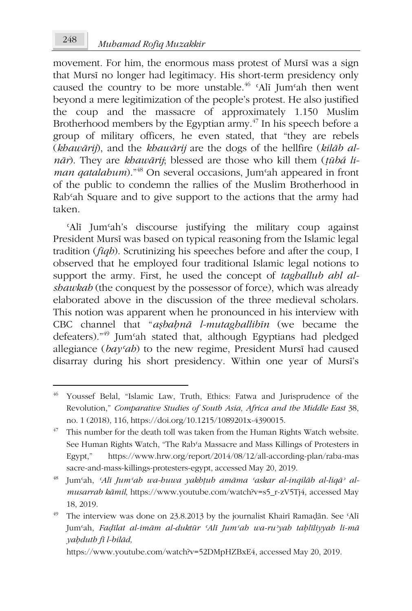movement. For him, the enormous mass protest of Mursī was a sign that Mursī no longer had legitimacy. His short-term presidency only caused the country to be more unstable.<sup>46</sup> 'Alī Jum'ah then went beyond a mere legitimization of the people's protest. He also justified the coup and the massacre of approximately 1.150 Muslim Brotherhood members by the Egyptian army. $47$  In his speech before a group of military officers, he even stated, that "they are rebels (*khawārij*), and the *khawārij* are the dogs of the hellfire (*kilāb alnār*). They are *khawārij*; blessed are those who kill them (*ṭūbá liman qatalahum*)."<sup>48</sup> On several occasions, Jum'ah appeared in front of the public to condemn the rallies of the Muslim Brotherhood in Rabʿah Square and to give support to the actions that the army had taken.

ʿAlī Jumʿah's discourse justifying the military coup against President Mursī was based on typical reasoning from the Islamic legal tradition (*fiqh*). Scrutinizing his speeches before and after the coup, I observed that he employed four traditional Islamic legal notions to support the army. First, he used the concept of *taghallub ahl alshawkah* (the conquest by the possessor of force), which was already elaborated above in the discussion of the three medieval scholars. This notion was apparent when he pronounced in his interview with CBC channel that "*aṣbaḥnā l-mutaghallibīn* (we became the defeaters)."<sup>49</sup> Jumʿah stated that, although Egyptians had pledged allegiance (*bayʿah*) to the new regime, President Mursī had caused disarray during his short presidency. Within one year of Mursī's

<sup>48</sup> Jumʿah, *ʿAlī Jumʿah wa-huwa yakhṭub amāma ʿaskar al-inqilāb al-liqāʾ almusarrab kāmil*, https://www.youtube.com/watch?v=s5\_r-zV5Tj4, accessed May 18, 2019.

<sup>49</sup> The interview was done on 23.8.2013 by the journalist Khairī Ramaḍān. See 'Alī Jumʿah, *Faḍīlat al-imām al-duktūr ʿAlī Jumʿah wa-ruʾyah taḥlīliyyah li-mā yaḥduth fī l-bilād,*

https://www.youtube.com/watch?v=52DMpHZBxE4, accessed May 20, 2019.

<sup>46</sup> Youssef Belal, "Islamic Law, Truth, Ethics: Fatwa and Jurisprudence of the Revolution," *Comparative Studies of South Asia, Africa and the Middle East* 38, no. 1 (2018), 116, https://doi.org/10.1215/1089201x-4390015.

 $47$  This number for the death toll was taken from the Human Rights Watch website. See Human Rights Watch, "The Rabʿa Massacre and Mass Killings of Protesters in Egypt," https://www.hrw.org/report/2014/08/12/all-according-plan/raba-mas sacre-and-mass-killings-protesters-egypt, accessed May 20, 2019.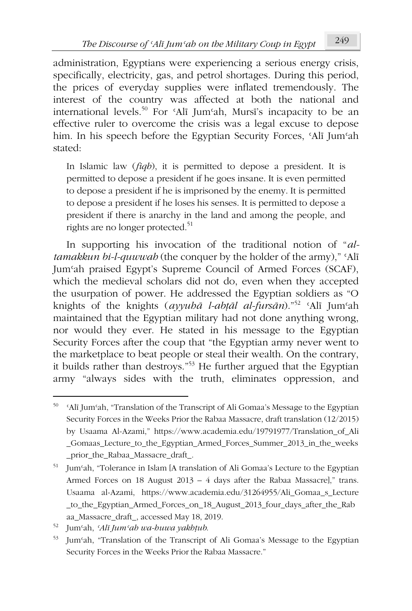administration, Egyptians were experiencing a serious energy crisis, specifically, electricity, gas, and petrol shortages. During this period, the prices of everyday supplies were inflated tremendously. The interest of the country was affected at both the national and international levels.<sup>50</sup> For ʿAlī Jumʿah, Mursī's incapacity to be an effective ruler to overcome the crisis was a legal excuse to depose him. In his speech before the Egyptian Security Forces, ʿAlī Jumʿah stated:

In Islamic law (*fiqh*), it is permitted to depose a president. It is permitted to depose a president if he goes insane. It is even permitted to depose a president if he is imprisoned by the enemy. It is permitted to depose a president if he loses his senses. It is permitted to depose a president if there is anarchy in the land and among the people, and rights are no longer protected.<sup>51</sup>

In supporting his invocation of the traditional notion of "*altamakkun bi-l-quwwah* (the conquer by the holder of the army)," ʿAlī Jumʿah praised Egypt's Supreme Council of Armed Forces (SCAF), which the medieval scholars did not do, even when they accepted the usurpation of power. He addressed the Egyptian soldiers as "O knights of the knights (*ayyuhā l-abṭāl al-fursān*)."<sup>52</sup> ʿAlī Jumʿah maintained that the Egyptian military had not done anything wrong, nor would they ever. He stated in his message to the Egyptian Security Forces after the coup that "the Egyptian army never went to the marketplace to beat people or steal their wealth. On the contrary, it builds rather than destroys."<sup>53</sup> He further argued that the Egyptian army "always sides with the truth, eliminates oppression, and

<sup>50</sup> ʿAlī Jumʿah, "Translation of the Transcript of Ali Gomaa's Message to the Egyptian Security Forces in the Weeks Prior the Rabaa Massacre, draft translation (12/2015) by Usaama Al-Azami," https://www.academia.edu/19791977/Translation\_of\_Ali \_Gomaas\_Lecture\_to\_the\_Egyptian\_Armed\_Forces\_Summer\_2013\_in\_the\_weeks \_prior\_the\_Rabaa\_Massacre\_draft\_.

<sup>51</sup> Jumʿah, "Tolerance in Islam [A translation of Ali Gomaa's Lecture to the Egyptian Armed Forces on 18 August 2013 – 4 days after the Rabaa Massacre]," trans. Usaama al-Azami, https://www.academia.edu/31264955/Ali\_Gomaa\_s\_Lecture \_to\_the\_Egyptian\_Armed\_Forces\_on\_18\_August\_2013\_four\_days\_after\_the\_Rab aa\_Massacre\_draft\_, accessed May 18, 2019.

<sup>52</sup> Jumʿah, *ʿAlī Jumʿah wa-huwa yakhṭub*.

<sup>53</sup> Jumʿah, "Translation of the Transcript of Ali Gomaa's Message to the Egyptian Security Forces in the Weeks Prior the Rabaa Massacre."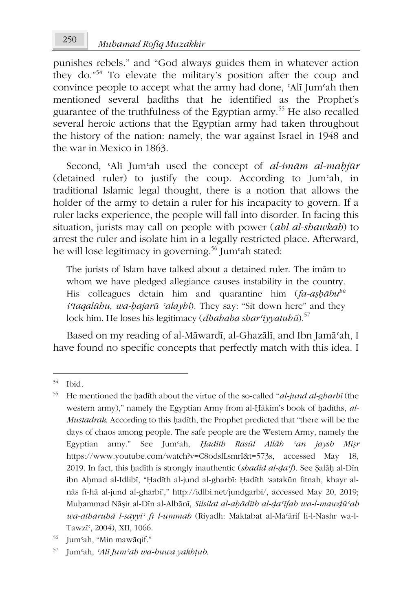punishes rebels." and "God always guides them in whatever action they do."<sup>54</sup> To elevate the military's position after the coup and convince people to accept what the army had done, ʿAlī Jumʿah then mentioned several hadīths that he identified as the Prophet's guarantee of the truthfulness of the Egyptian army.<sup>55</sup> He also recalled several heroic actions that the Egyptian army had taken throughout the history of the nation: namely, the war against Israel in 1948 and the war in Mexico in 1863.

Second, ʿAlī Jumʿah used the concept of *al-imām al-maḥjūr* (detained ruler) to justify the coup. According to Jumʿah, in traditional Islamic legal thought, there is a notion that allows the holder of the army to detain a ruler for his incapacity to govern. If a ruler lacks experience, the people will fall into disorder. In facing this situation, jurists may call on people with power (*ahl al-shawkah*) to arrest the ruler and isolate him in a legally restricted place. Afterward, he will lose legitimacy in governing.<sup>56</sup> Jum<sup>c</sup>ah stated:

The jurists of Islam have talked about a detained ruler. The imām to whom we have pledged allegiance causes instability in the country. His colleagues detain him and quarantine him (*fa-aṣḥābuhū iʿtaqalūhu, wa-ḥajarū ʿalayhi*). They say: "Sit down here" and they lock him. He loses his legitimacy (*dhahaba sharʿiyyatuhū*).<sup>57</sup>

Based on my reading of al-Māwardī, al-Ghazālī, and Ibn Jamāʿah, I have found no specific concepts that perfectly match with this idea. I

<sup>54</sup> Ibid*.*

<sup>55</sup> He mentioned the ḥadīth about the virtue of the so-called "*al-jund al-gharbī* (the western army)," namely the Egyptian Army from al-Ḥākim's book of ḥadīths, *al-Mustadrak*. According to this ḥadīth, the Prophet predicted that "there will be the days of chaos among people. The safe people are the Western Army, namely the Egyptian army." See Jumʿah, *Ḥadīth Rasūl Allāh ʿan jaysh Miṣr* https://www.youtube.com/watch?v=C8odslLsmrI&t=573s, accessed May 18, 2019. In fact, this ḥadīth is strongly inauthentic (*shadīd al-ḍaʿf*). See Ṣalāḥ al-Dīn ibn Aḥmad al-Idlibī, "Ḥadīth al-jund al-gharbī: Ḥadīth 'satakūn fitnah, khayr alnās fī-hā al-jund al-gharbī'," http://idlbi.net/jundgarbi/, accessed May 20, 2019; Muḥammad Nāṣir al-Dīn al-Albānī, *Silsilat al-aḥādīth al-ḍaʿīfah wa-l-mawḍūʿah wa-atharuhā l-sayyiʾ fī l-ummah* (Riyadh: Maktabat al-Maʿārif li-l-Nashr wa-l-Tawzī<sup>c</sup>, 2004), XII, 1066.

<sup>56</sup> Jumʿah, "Min mawāqif."

<sup>57</sup> Jumʿah, *ʿAlī Jumʿah wa-huwa yakhṭub*.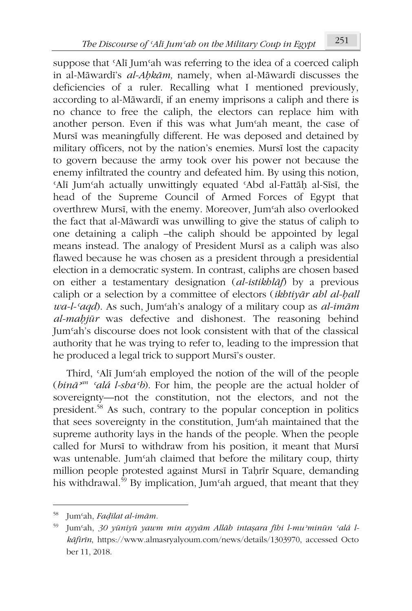suppose that 'Alī Jum'ah was referring to the idea of a coerced caliph in al-Māwardī's *al-Aḥkām,* namely, when al-Māwardī discusses the deficiencies of a ruler. Recalling what I mentioned previously, according to al-Māwardī, if an enemy imprisons a caliph and there is no chance to free the caliph, the electors can replace him with another person. Even if this was what Jumʿah meant, the case of Mursī was meaningfully different. He was deposed and detained by military officers, not by the nation's enemies. Mursī lost the capacity to govern because the army took over his power not because the enemy infiltrated the country and defeated him. By using this notion, ʿAlī Jumʿah actually unwittingly equated ʿAbd al-Fattāḥ al-Sīsī, the head of the Supreme Council of Armed Forces of Egypt that overthrew Mursī, with the enemy. Moreover, Jumʿah also overlooked the fact that al-Māwardī was unwilling to give the status of caliph to one detaining a caliph –the caliph should be appointed by legal means instead. The analogy of President Mursī as a caliph was also flawed because he was chosen as a president through a presidential election in a democratic system. In contrast, caliphs are chosen based on either a testamentary designation (*al-istikhlāf*) by a previous caliph or a selection by a committee of electors (*ikhtiyār ahl al-ḥall wa-l-ʿaqd*). As such, Jumʿah's analogy of a military coup as *al-imām al-maḥjūr* was defective and dishonest. The reasoning behind Jumʿah's discourse does not look consistent with that of the classical authority that he was trying to refer to, leading to the impression that he produced a legal trick to support Mursī's ouster.

Third, ʿAlī Jumʿah employed the notion of the will of the people (*bināʾan ʿalá l-shaʿb*). For him, the people are the actual holder of sovereignty—not the constitution, not the electors, and not the president.<sup>58</sup> As such, contrary to the popular conception in politics that sees sovereignty in the constitution, Jumʿah maintained that the supreme authority lays in the hands of the people. When the people called for Mursī to withdraw from his position, it meant that Mursī was untenable. Jum'ah claimed that before the military coup, thirty million people protested against Mursī in Taḥrīr Square, demanding his withdrawal.<sup>59</sup> By implication, Jum<sup>o</sup>ah argued, that meant that they

<sup>58</sup> Jumʿah, *Faḍīlat al-imām.*

<sup>59</sup> Jumʿah, *30 yūniyū yawm min ayyām Allāh intaṣara fīhi l-muʾminūn ʿalá lkāfirīn*, https://www.almasryalyoum.com/news/details/1303970, accessed Octo ber 11, 2018.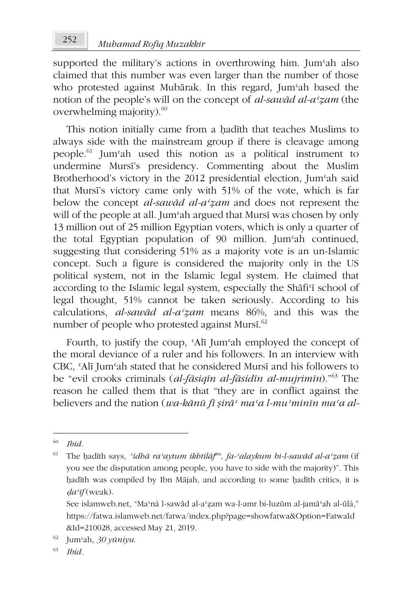supported the military's actions in overthrowing him. Jumsh also claimed that this number was even larger than the number of those who protested against Mubārak. In this regard, Jum'ah based the notion of the people's will on the concept of *al-sawād al-aʿẓam* (the overwhelming majority).<sup>60</sup>

This notion initially came from a hadīth that teaches Muslims to always side with the mainstream group if there is cleavage among people.<sup>61</sup> Jumʿah used this notion as a political instrument to undermine Mursī's presidency. Commenting about the Muslim Brotherhood's victory in the 2012 presidential election, Jumʿah said that Mursī's victory came only with 51% of the vote, which is far below the concept *al-sawād al-aʿẓam* and does not represent the will of the people at all. Jumʿah argued that Mursī was chosen by only 13 million out of 25 million Egyptian voters, which is only a quarter of the total Egyptian population of 90 million. Jumʿah continued, suggesting that considering 51% as a majority vote is an un-Islamic concept. Such a figure is considered the majority only in the US political system, not in the Islamic legal system. He claimed that according to the Islamic legal system, especially the Shāfi'i school of legal thought, 51% cannot be taken seriously. According to his calculations, *al-sawād al-aʿẓam* means 86%, and this was the number of people who protested against Mursī.<sup>62</sup>

Fourth, to justify the coup, ʿAlī Jumʿah employed the concept of the moral deviance of a ruler and his followers. In an interview with CBC, ʿAlī Jumʿah stated that he considered Mursī and his followers to be "evil crooks criminals (*al-fāsiqīn al-fāsidīn al-mujrimīn*)."<sup>63</sup> The reason he called them that is that "they are in conflict against the believers and the nation (*wa-kānū fī ṣirāʿ maʿa l-muʾminīn maʿa al-*

<sup>60</sup> *Ibid.*

<sup>61</sup> The ḥadīth says, *"idhā raʾaytum ikhtilāf an, fa-ʿalaykum bi-l-sawād al-aʿẓam* (if you see the disputation among people, you have to side with the majority)". This ḥadīth was compiled by Ibn Mājah, and according to some ḥadīth critics, it is *ḍaʿīf* (weak).

See islamweb.net, "Maʿná l-sawād al-aʿẓam wa-l-amr bi-luzūm al-jamāʿah al-ūlá," https://fatwa.islamweb.net/fatwa/index.php?page=showfatwa&Option=FatwaId &Id=210028, accessed May 21, 2019.

<sup>62</sup> Jumʿah, *30 yūniyu*.

<sup>63</sup> *Ibid.*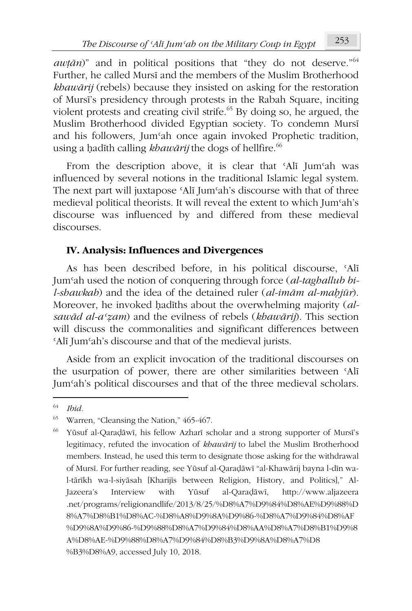*awṭān*)" and in political positions that "they do not deserve."<sup>64</sup> Further, he called Mursī and the members of the Muslim Brotherhood *khawārij* (rebels) because they insisted on asking for the restoration of Mursī's presidency through protests in the Rabah Square, inciting violent protests and creating civil strife.<sup>65</sup> By doing so, he argued, the Muslim Brotherhood divided Egyptian society. To condemn Mursī and his followers, Jumʿah once again invoked Prophetic tradition, using a ḥadīth calling *khawārij* the dogs of hellfire.<sup>66</sup>

From the description above, it is clear that ʿAlī Jumʿah was influenced by several notions in the traditional Islamic legal system. The next part will juxtapose ʿAlī Jumʿah's discourse with that of three medieval political theorists. It will reveal the extent to which Jumʿah's discourse was influenced by and differed from these medieval discourses.

## **IV. Analysis: Influences and Divergences**

As has been described before, in his political discourse, ʿAlī Jumʿah used the notion of conquering through force (*al-taghallub bil-shawkah*) and the idea of the detained ruler (*al-imām al-maḥjūr*). Moreover, he invoked ḥadīths about the overwhelming majority (*alsawād al-aʿẓam*) and the evilness of rebels (*khawārij*). This section will discuss the commonalities and significant differences between ʿAlī Jumʿah's discourse and that of the medieval jurists.

Aside from an explicit invocation of the traditional discourses on the usurpation of power, there are other similarities between ʿAlī Jumʿah's political discourses and that of the three medieval scholars.

<sup>64</sup> *Ibid.*

<sup>65</sup> Warren, "Cleansing the Nation," 465-467.

<sup>66</sup> Yūsuf al-Qaraḍāwī, his fellow Azharī scholar and a strong supporter of Mursī's legitimacy, refuted the invocation of *khawārij* to label the Muslim Brotherhood members. Instead, he used this term to designate those asking for the withdrawal of Mursī. For further reading, see Yūsuf al-Qaraḍāwī "al-Khawārij bayna l-dīn wal-tārīkh wa-l-siyāsah [Kharijīs between Religion, History, and Politics]," Al-Jazeera's Interview with Yūsuf al-Qaraḍāwī, http://www.aljazeera .net/programs/religionandlife/2013/8/25/%D8%A7%D9%84%D8%AE%D9%88%D 8%A7%D8%B1%D8%AC-%D8%A8%D9%8A%D9%86-%D8%A7%D9%84%D8%AF %D9%8A%D9%86-%D9%88%D8%A7%D9%84%D8%AA%D8%A7%D8%B1%D9%8 A%D8%AE-%D9%88%D8%A7%D9%84%D8%B3%D9%8A%D8%A7%D8 %B3%D8%A9, accessed July 10, 2018.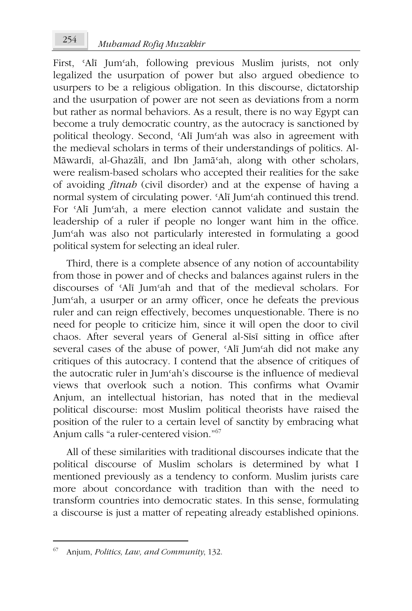First, 'Alī Jum'ah, following previous Muslim jurists, not only legalized the usurpation of power but also argued obedience to usurpers to be a religious obligation. In this discourse, dictatorship and the usurpation of power are not seen as deviations from a norm but rather as normal behaviors. As a result, there is no way Egypt can become a truly democratic country, as the autocracy is sanctioned by political theology. Second, ʿAlī Jumʿah was also in agreement with the medieval scholars in terms of their understandings of politics. Al-Māwardī, al-Ghazālī, and Ibn Jamāʿah, along with other scholars, were realism-based scholars who accepted their realities for the sake of avoiding *fitnah* (civil disorder) and at the expense of having a normal system of circulating power. ʿAlī Jumʿah continued this trend. For ʿAlī Jumʿah, a mere election cannot validate and sustain the leadership of a ruler if people no longer want him in the office. Jumʿah was also not particularly interested in formulating a good political system for selecting an ideal ruler.

Third, there is a complete absence of any notion of accountability from those in power and of checks and balances against rulers in the discourses of ʿAlī Jumʿah and that of the medieval scholars. For Jumʿah, a usurper or an army officer, once he defeats the previous ruler and can reign effectively, becomes unquestionable. There is no need for people to criticize him, since it will open the door to civil chaos. After several years of General al-Sīsī sitting in office after several cases of the abuse of power, ʿAlī Jumʿah did not make any critiques of this autocracy. I contend that the absence of critiques of the autocratic ruler in Jumʿah's discourse is the influence of medieval views that overlook such a notion. This confirms what Ovamir Anjum, an intellectual historian, has noted that in the medieval political discourse: most Muslim political theorists have raised the position of the ruler to a certain level of sanctity by embracing what Anjum calls "a ruler-centered vision."<sup>67</sup>

All of these similarities with traditional discourses indicate that the political discourse of Muslim scholars is determined by what I mentioned previously as a tendency to conform. Muslim jurists care more about concordance with tradition than with the need to transform countries into democratic states. In this sense, formulating a discourse is just a matter of repeating already established opinions.

<sup>67</sup> Anjum, *Politics, Law, and Community*, 132.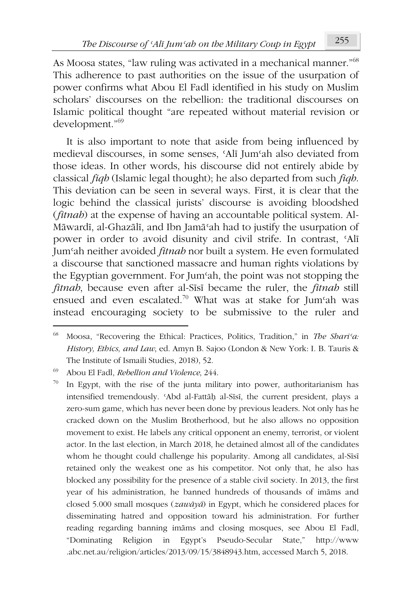As Moosa states, "law ruling was activated in a mechanical manner."<sup>68</sup> This adherence to past authorities on the issue of the usurpation of power confirms what Abou El Fadl identified in his study on Muslim scholars' discourses on the rebellion: the traditional discourses on Islamic political thought "are repeated without material revision or development."<sup>69</sup>

It is also important to note that aside from being influenced by medieval discourses, in some senses, ʿAlī Jumʿah also deviated from those ideas. In other words, his discourse did not entirely abide by classical *fiqh* (Islamic legal thought); he also departed from such *fiqh*. This deviation can be seen in several ways. First, it is clear that the logic behind the classical jurists' discourse is avoiding bloodshed (*fitnah*) at the expense of having an accountable political system. Al-Māwardī, al-Ghazālī, and Ibn Jamāʿah had to justify the usurpation of power in order to avoid disunity and civil strife. In contrast, ʿAlī Jumʿah neither avoided *fitnah* nor built a system. He even formulated a discourse that sanctioned massacre and human rights violations by the Egyptian government. For Jumʿah, the point was not stopping the *fitnah*, because even after al-Sīsī became the ruler, the *fitnah* still ensued and even escalated.<sup>70</sup> What was at stake for Jum'ah was instead encouraging society to be submissive to the ruler and

<sup>68</sup> Moosa, "Recovering the Ethical: Practices, Politics, Tradition," in *The Shariʿa: History, Ethics, and Law*, ed. Amyn B. Sajoo (London & New York: I. B. Tauris & The Institute of Ismaili Studies, 2018), 52.

<sup>69</sup> Abou El Fadl, *Rebellion and Violence*, 244.

In Egypt, with the rise of the junta military into power, authoritarianism has intensified tremendously. ʿAbd al-Fattāḥ al-Sīsī, the current president, plays a zero-sum game, which has never been done by previous leaders. Not only has he cracked down on the Muslim Brotherhood, but he also allows no opposition movement to exist. He labels any critical opponent an enemy, terrorist, or violent actor. In the last election, in March 2018, he detained almost all of the candidates whom he thought could challenge his popularity. Among all candidates, al-Sīsī retained only the weakest one as his competitor. Not only that, he also has blocked any possibility for the presence of a stable civil society. In 2013, the first year of his administration, he banned hundreds of thousands of imāms and closed 5.000 small mosques (*zawāyā*) in Egypt, which he considered places for disseminating hatred and opposition toward his administration. For further reading regarding banning imāms and closing mosques, see Abou El Fadl, "Dominating Religion in Egypt's Pseudo-Secular State," http://www .abc.net.au/religion/articles/2013/09/15/3848943.htm, accessed March 5, 2018.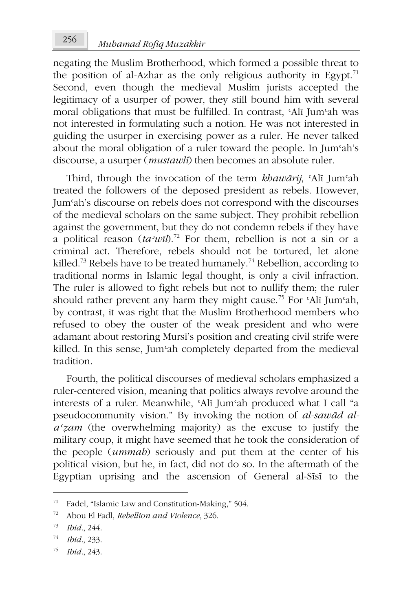negating the Muslim Brotherhood, which formed a possible threat to the position of al-Azhar as the only religious authority in Egypt.<sup>71</sup> Second, even though the medieval Muslim jurists accepted the legitimacy of a usurper of power, they still bound him with several moral obligations that must be fulfilled. In contrast, ʿAlī Jumʿah was not interested in formulating such a notion. He was not interested in guiding the usurper in exercising power as a ruler. He never talked about the moral obligation of a ruler toward the people. In Jumʿah's discourse, a usurper (*mustawlī*) then becomes an absolute ruler.

Third, through the invocation of the term *khawārij*, ʿAlī Jumʿah treated the followers of the deposed president as rebels. However, Jumʿah's discourse on rebels does not correspond with the discourses of the medieval scholars on the same subject. They prohibit rebellion against the government, but they do not condemn rebels if they have a political reason  $(ta^2w\bar{a})$ .<sup>72</sup> For them, rebellion is not a sin or a criminal act. Therefore, rebels should not be tortured, let alone killed.<sup>73</sup> Rebels have to be treated humanely.<sup>74</sup> Rebellion, according to traditional norms in Islamic legal thought, is only a civil infraction. The ruler is allowed to fight rebels but not to nullify them; the ruler should rather prevent any harm they might cause.<sup>75</sup> For 'Alī Jum'ah, by contrast, it was right that the Muslim Brotherhood members who refused to obey the ouster of the weak president and who were adamant about restoring Mursī's position and creating civil strife were killed. In this sense, Jumʿah completely departed from the medieval tradition.

Fourth, the political discourses of medieval scholars emphasized a ruler-centered vision, meaning that politics always revolve around the interests of a ruler. Meanwhile, ʿAlī Jumʿah produced what I call "a pseudocommunity vision." By invoking the notion of *al-sawād alaʿẓam* (the overwhelming majority) as the excuse to justify the military coup, it might have seemed that he took the consideration of the people (*ummah*) seriously and put them at the center of his political vision, but he, in fact, did not do so. In the aftermath of the Egyptian uprising and the ascension of General al-Sīsī to the

<sup>71</sup> Fadel, "Islamic Law and Constitution-Making," 504.

<sup>72</sup> Abou El Fadl, *Rebellion and Violence*, 326.

<sup>73</sup> *Ibid.*, 244.

<sup>74</sup> *Ibid.*, 233.

<sup>75</sup> *Ibid.*, 243.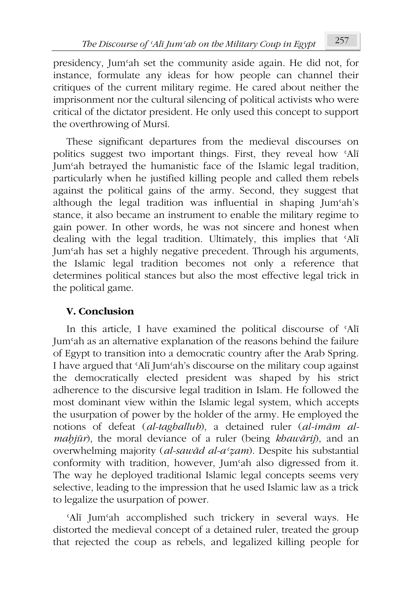presidency, Jumʿah set the community aside again. He did not, for instance, formulate any ideas for how people can channel their critiques of the current military regime. He cared about neither the imprisonment nor the cultural silencing of political activists who were critical of the dictator president. He only used this concept to support the overthrowing of Mursī.

These significant departures from the medieval discourses on politics suggest two important things. First, they reveal how ʿAlī Jumʿah betrayed the humanistic face of the Islamic legal tradition, particularly when he justified killing people and called them rebels against the political gains of the army. Second, they suggest that although the legal tradition was influential in shaping Jumʿah's stance, it also became an instrument to enable the military regime to gain power. In other words, he was not sincere and honest when dealing with the legal tradition. Ultimately, this implies that ʿAlī Jumʿah has set a highly negative precedent. Through his arguments, the Islamic legal tradition becomes not only a reference that determines political stances but also the most effective legal trick in the political game.

# **V. Conclusion**

In this article, I have examined the political discourse of ʿAlī Jumʿah as an alternative explanation of the reasons behind the failure of Egypt to transition into a democratic country after the Arab Spring. I have argued that ʿAlī Jumʿah's discourse on the military coup against the democratically elected president was shaped by his strict adherence to the discursive legal tradition in Islam. He followed the most dominant view within the Islamic legal system, which accepts the usurpation of power by the holder of the army. He employed the notions of defeat (*al-taghallub*), a detained ruler (*al-imām almaḥjūr*), the moral deviance of a ruler (being *khawārij*), and an overwhelming majority (*al-sawād al-aʿẓam*). Despite his substantial conformity with tradition, however, Jumʿah also digressed from it. The way he deployed traditional Islamic legal concepts seems very selective, leading to the impression that he used Islamic law as a trick to legalize the usurpation of power.

ʿAlī Jumʿah accomplished such trickery in several ways. He distorted the medieval concept of a detained ruler, treated the group that rejected the coup as rebels, and legalized killing people for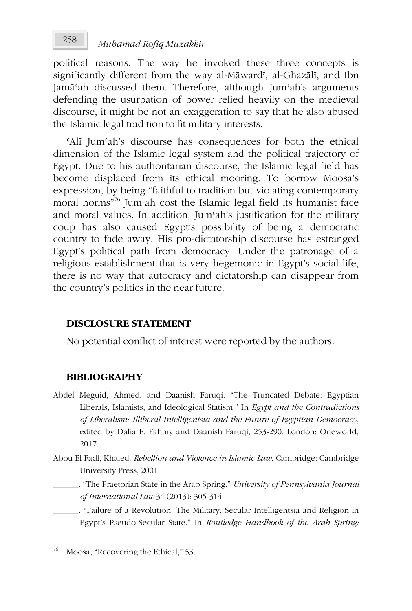political reasons. The way he invoked these three concepts is significantly different from the way al-Māwardī, al-Ghazālī, and Ibn Jamāʿah discussed them. Therefore, although Jumʿah's arguments defending the usurpation of power relied heavily on the medieval discourse, it might be not an exaggeration to say that he also abused the Islamic legal tradition to fit military interests.

ʿAlī Jumʿah's discourse has consequences for both the ethical dimension of the Islamic legal system and the political trajectory of Egypt. Due to his authoritarian discourse, the Islamic legal field has become displaced from its ethical mooring. To borrow Moosa's expression, by being "faithful to tradition but violating contemporary moral norms"<sup>76</sup> Jumʿah cost the Islamic legal field its humanist face and moral values. In addition, Jum'ah's justification for the military coup has also caused Egypt's possibility of being a democratic country to fade away. His pro-dictatorship discourse has estranged Egypt's political path from democracy. Under the patronage of a religious establishment that is very hegemonic in Egypt's social life, there is no way that autocracy and dictatorship can disappear from the country's politics in the near future.

### **DISCLOSURE STATEMENT**

No potential conflict of interest were reported by the authors.

#### **BIBLIOGRAPHY**

- Abdel Meguid, Ahmed, and Daanish Faruqi. "The Truncated Debate: Egyptian Liberals, Islamists, and Ideological Statism." In *Egypt and the Contradictions of Liberalism: Illiberal Intelligentsia and the Future of Egyptian Democracy*, edited by Dalia F. Fahmy and Daanish Faruqi, 253-290. London: Oneworld, 2017.
- Abou El Fadl, Khaled. *Rebellion and Violence in Islamic Law*. Cambridge: Cambridge University Press, 2001.
	- \_\_\_\_\_\_. "The Praetorian State in the Arab Spring." *University of Pennsylvania Journal of International Law* 34 (2013): 305-314.
		- \_\_\_\_\_\_. "Failure of a Revolution. The Military, Secular Intelligentsia and Religion in Egypt's Pseudo-Secular State." In *Routledge Handbook of the Arab Spring:*

Moosa, "Recovering the Ethical," 53.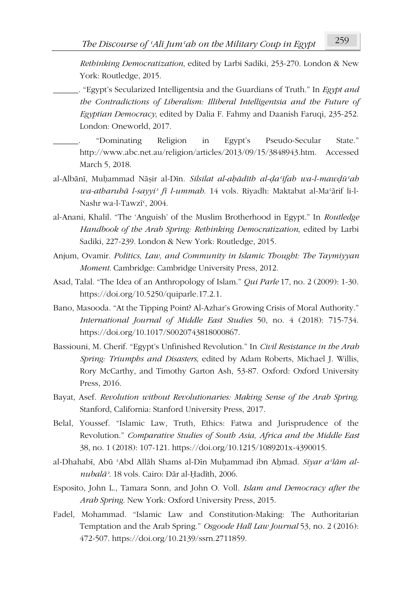*Rethinking Democratization*, edited by Larbi Sadiki, 253-270. London & New York: Routledge, 2015.

\_\_\_\_\_\_. "Egypt's Secularized Intelligentsia and the Guardians of Truth." In *Egypt and the Contradictions of Liberalism: Illiberal Intelligentsia and the Future of Egyptian Democracy*, edited by Dalia F. Fahmy and Daanish Faruqi, 235-252. London: Oneworld, 2017.

\_\_\_\_\_\_. "Dominating Religion in Egypt's Pseudo-Secular State." http://www.abc.net.au/religion/articles/2013/09/15/3848943.htm. Accessed March 5, 2018.

- al-Albānī, Muḥammad Nāṣir al-Dīn. *Silsilat al-aḥādīth al-ḍaʿīfah wa-l-mawḍūʿah wa-atharuhā l-sayyiʾ fī l-ummah*. 14 vols. Riyadh: Maktabat al-Maʿārif li-l-Nashr wa-l-Tawzī<sup>c</sup>, 2004.
- al-Anani, Khalil. "The 'Anguish' of the Muslim Brotherhood in Egypt." In *Routledge Handbook of the Arab Spring: Rethinking Democratization*, edited by Larbi Sadiki, 227-239. London & New York: Routledge, 2015.
- Anjum, Ovamir. *Politics, Law, and Community in Islamic Thought: The Taymiyyan Moment*. Cambridge: Cambridge University Press, 2012.
- Asad, Talal. "The Idea of an Anthropology of Islam." *Qui Parle* 17, no. 2 (2009): 1-30. https://doi.org/10.5250/quiparle.17.2.1.
- Bano, Masooda. "At the Tipping Point? Al-Azhar's Growing Crisis of Moral Authority." *International Journal of Middle East Studies* 50, no. 4 (2018): 715-734. https://doi.org/10.1017/S0020743818000867.
- Bassiouni, M. Cherif. "Egypt's Unfinished Revolution." In *Civil Resistance in the Arab Spring: Triumphs and Disasters*, edited by Adam Roberts, Michael J. Willis, Rory McCarthy, and Timothy Garton Ash, 53-87. Oxford: Oxford University Press, 2016.
- Bayat, Asef. *Revolution without Revolutionaries: Making Sense of the Arab Spring*. Stanford, California: Stanford University Press, 2017.
- Belal, Youssef. "Islamic Law, Truth, Ethics: Fatwa and Jurisprudence of the Revolution." *Comparative Studies of South Asia, Africa and the Middle East* 38, no. 1 (2018): 107-121. https://doi.org/10.1215/1089201x-4390015.
- al-Dhahabī, Abū 'Abd Allāh Shams al-Dīn Muhammad ibn Ahmad. *Siyar a'lām alnubalāʾ*. 18 vols. Cairo: Dār al-Ḥadīth, 2006.
- Esposito, John L., Tamara Sonn, and John O. Voll. *Islam and Democracy after the Arab Spring*. New York: Oxford University Press, 2015.
- Fadel, Mohammad. "Islamic Law and Constitution-Making: The Authoritarian Temptation and the Arab Spring." *Osgoode Hall Law Journal* 53, no. 2 (2016): 472-507. https://doi.org/10.2139/ssrn.2711859.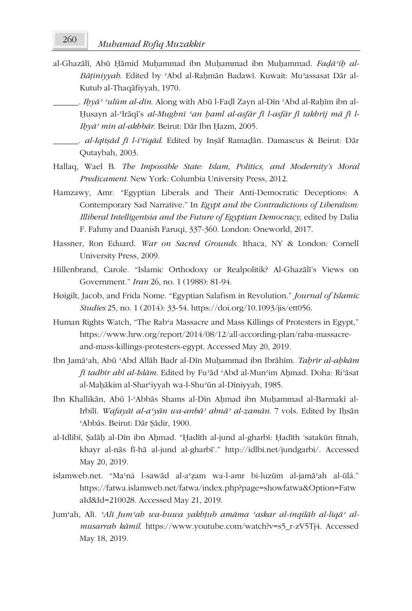- al-Ghazālī, Abū Ḥāmid Muḥammad ibn Muḥammad ibn Muḥammad. *Faḍāʾiḥ al-Bāṭiniyyah*. Edited by ʿAbd al-Raḥmān Badawī. Kuwait: Muʾassasat Dār al-Kutub al-Thaqāfiyyah, 1970.
- \_\_\_\_\_\_. *Iḥyāʾ ʿulūm al-dīn*. Along with Abū l-Faḍl Zayn al-Dīn ʿAbd al-Raḥīm ibn al-Ḥusayn al-ʿIrāqī's *al-Mughnī ʿan ḥaml al-asfār fī l-asfār fī takhrīj mā fī l-Iḥyāʾ min al-akhbār*. Beirut: Dār Ibn Ḥazm, 2005.
- \_\_\_\_\_\_. *al-Iqtiṣād fī l-iʿtiqād*. Edited by Inṣāf Ramaḍān. Damascus & Beirut: Dār Qutaybah, 2003.
- Hallaq, Wael B. *The Impossible State: Islam, Politics, and Modernity's Moral Predicament*. New York: Columbia University Press, 2012.
- Hamzawy, Amr. "Egyptian Liberals and Their Anti-Democratic Deceptions: A Contemporary Sad Narrative." In *Egypt and the Contradictions of Liberalism: Illiberal Intelligentsia and the Future of Egyptian Democracy*, edited by Dalia F. Fahmy and Daanish Faruqi, 337-360. London: Oneworld, 2017.
- Hassner, Ron Eduard. *War on Sacred Grounds*. Ithaca, NY & London: Cornell University Press, 2009.
- Hillenbrand, Carole. "Islamic Orthodoxy or Realpolitik? Al-Ghazālī's Views on Government." *Iran* 26, no. 1 (1988): 81-94.
- Høigilt, Jacob, and Frida Nome. "Egyptian Salafism in Revolution." *Journal of Islamic Studies* 25, no. 1 (2014): 33-54. https://doi.org/10.1093/jis/ett056.
- Human Rights Watch, "The Rab'a Massacre and Mass Killings of Protesters in Egypt," https://www.hrw.org/report/2014/08/12/all-according-plan/raba-massacreand-mass-killings-protesters-egypt. Accessed May 20, 2019.
- Ibn Jamāʿah, Abū ʿAbd Allāh Badr al-Dīn Muḥammad ibn Ibrāhīm. *Taḥrīr al-aḥkām fī tadbīr ahl al-Islām*. Edited by Fuʾād ʿAbd al-Munʿim Aḥmad. Doha: Riʾāsat al-Maḥākim al-Sharʿiyyah wa-l-Shuʾūn al-Dīniyyah, 1985.
- Ibn Khallikān, Abū l-ʿAbbās Shams al-Dīn Aḥmad ibn Muḥammad al-Barmakī al-Irbilī. *Wafayāt al-aʿyān wa-anbāʾ abnāʾ al-zamān*. 7 vols. Edited by Iḥsān ʿAbbās. Beirut: Dār Ṣādir, 1900.
- al-Idlibī, Ṣalāḥ al-Dīn ibn Aḥmad. "Ḥadīth al-jund al-gharbī: Ḥadīth 'satakūn fitnah, khayr al-nās fī-hā al-jund al-gharbī'." http://idlbi.net/jundgarbi/. Accessed May 20, 2019.
- islamweb.net. "Maʿná l-sawād al-aʿẓam wa-l-amr bi-luzūm al-jamāʿah al-ūlá." https://fatwa.islamweb.net/fatwa/index.php?page=showfatwa&Option=Fatw aId&Id=210028. Accessed May 21, 2019.
- Jumʿah, Alī. *ʿAlī Jumʿah wa-huwa yakhṭub amāma ʿaskar al-inqilāb al-liqāʾ almusarrab kāmil*. https://www.youtube.com/watch?v=s5\_r-zV5Tj4. Accessed May 18, 2019.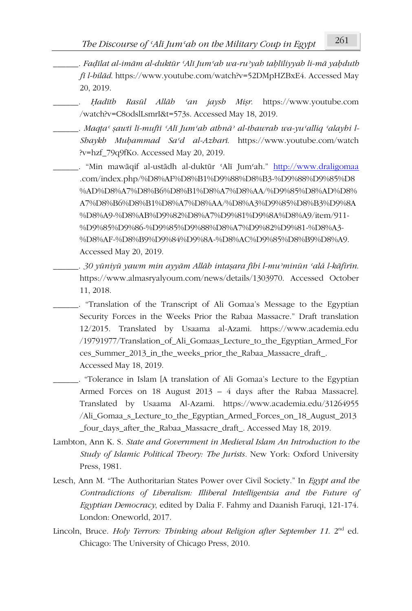- . Fadīlat al-imām al-duktūr ʿAlī Jumʿab wa-ru'yab tablīliyyab li-mā yabdutb *fī l-bilād*. https://www.youtube.com/watch?v=52DMpHZBxE4. Accessed May 20, 2019.
	- \_\_\_\_\_\_. *Ḥadīth Rasūl Allāh ʿan jaysh Miṣr*. https://www.youtube.com /watch?v=C8odslLsmrI&t=573s. Accessed May 18, 2019.
	- \_\_\_\_\_\_. *Maqṭaʿ ṣawtī lī-muftī ʿAlī Jumʿah athnāʾ al-thawrah wa-yuʿalliq ʿalayhi l-Shaykh Muḥammad Saʿd al-Azharī*. https://www.youtube.com/watch ?v=hzf\_79q9fKo. Accessed May 20, 2019.

\_\_\_\_\_\_. "Min mawāqif al-ustādh al-duktūr ʿAlī Jumʿah." http://www.draligomaa .com/index.php/%D8%AF%D8%B1%D9%88%D8%B3-%D9%88%D9%85%D8 %AD%D8%A7%D8%B6%D8%B1%D8%A7%D8%AA/%D9%85%D8%AD%D8% A7%D8%B6%D8%B1%D8%A7%D8%AA/%D8%A3%D9%85%D8%B3%D9%8A %D8%A9-%D8%AB%D9%82%D8%A7%D9%81%D9%8A%D8%A9/item/911- %D9%85%D9%86-%D9%85%D9%88%D8%A7%D9%82%D9%81-%D8%A3- %D8%AF-%D8%B9%D9%84%D9%8A-%D8%AC%D9%85%D8%B9%D8%A9. Accessed May 20, 2019.

. 30 yüniyü yawm min ayyām Allāh intaşara fihi l-mu'minūn 'alá l-kāfirīn. https://www.almasryalyoum.com/news/details/1303970. Accessed October 11, 2018.

\_\_\_\_\_\_. "Translation of the Transcript of Ali Gomaa's Message to the Egyptian Security Forces in the Weeks Prior the Rabaa Massacre." Draft translation 12/2015. Translated by Usaama al-Azami. https://www.academia.edu /19791977/Translation\_of\_Ali\_Gomaas\_Lecture\_to\_the\_Egyptian\_Armed\_For ces Summer 2013 in the weeks prior the Rabaa Massacre draft. Accessed May 18, 2019.

\_\_\_\_\_\_. "Tolerance in Islam [A translation of Ali Gomaa's Lecture to the Egyptian Armed Forces on 18 August 2013 – 4 days after the Rabaa Massacre]. Translated by Usaama Al-Azami. https://www.academia.edu/31264955 /Ali\_Gomaa\_s\_Lecture\_to\_the\_Egyptian\_Armed\_Forces\_on\_18\_August\_2013 \_four\_days\_after\_the\_Rabaa\_Massacre\_draft\_. Accessed May 18, 2019.

- Lambton, Ann K. S. *State and Government in Medieval Islam An Introduction to the Study of Islamic Political Theory: The Jurists.* New York: Oxford University Press, 1981.
- Lesch, Ann M. "The Authoritarian States Power over Civil Society." In *Egypt and the Contradictions of Liberalism: Illiberal Intelligentsia and the Future of Egyptian Democracy*, edited by Dalia F. Fahmy and Daanish Faruqi, 121-174. London: Oneworld, 2017.
- Lincoln, Bruce. *Holy Terrors: Thinking about Religion after September 11*. 2<sup>nd</sup> ed. Chicago: The University of Chicago Press, 2010.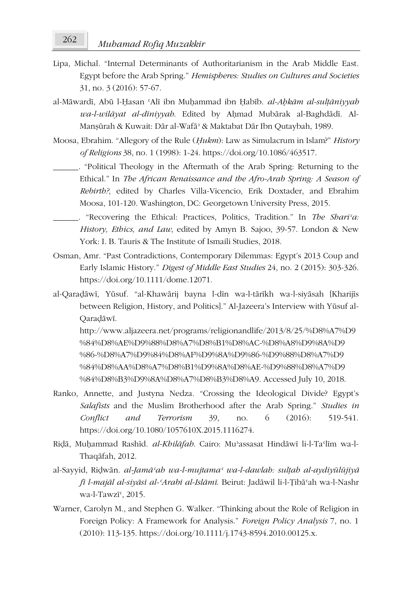- Lipa, Michal. "Internal Determinants of Authoritarianism in the Arab Middle East. Egypt before the Arab Spring." *Hemispheres: Studies on Cultures and Societies* 31, no. 3 (2016): 57-67.
- al-Māwardī, Abū l-Ḥasan ʿAlī ibn Muḥammad ibn Ḥabīb. *al-Aḥkām al-sulṭāniyyah wa-l-wilāyat al-dīniyyah*. Edited by Aḥmad Mubārak al-Baghdādī. Al-Manṣūrah & Kuwait: Dār al-Wafāʾ & Maktabat Dār Ibn Qutaybah, 1989.
- Moosa, Ebrahim. "Allegory of the Rule (*Ḥukm*): Law as Simulacrum in Islam?" *History of Religions* 38, no. 1 (1998): 1-24. https://doi.org/10.1086/463517.
	- \_\_\_\_\_\_. "Political Theology in the Aftermath of the Arab Spring: Returning to the Ethical." In *The African Renaissance and the Afro-Arab Spring: A Season of Rebirth?*, edited by Charles Villa-Vicencio, Erik Doxtader, and Ebrahim Moosa, 101-120. Washington, DC: Georgetown University Press, 2015.
	- \_\_\_\_\_\_. "Recovering the Ethical: Practices, Politics, Tradition." In *The Shariʿa: History, Ethics, and Law*, edited by Amyn B. Sajoo, 39-57. London & New York: I. B. Tauris & The Institute of Ismaili Studies, 2018.
- Osman, Amr. "Past Contradictions, Contemporary Dilemmas: Egypt's 2013 Coup and Early Islamic History." *Digest of Middle East Studies* 24, no. 2 (2015): 303-326. https://doi.org/10.1111/dome.12071.
- al-Qaraḍāwī, Yūsuf. "al-Khawārij bayna l-dīn wa-l-tārīkh wa-l-siyāsah [Kharijīs between Religion, History, and Politics]." Al-Jazeera's Interview with Yūsuf al-Qaraḍāwī.

http://www.aljazeera.net/programs/religionandlife/2013/8/25/%D8%A7%D9 %84%D8%AE%D9%88%D8%A7%D8%B1%D8%AC-%D8%A8%D9%8A%D9 %86-%D8%A7%D9%84%D8%AF%D9%8A%D9%86-%D9%88%D8%A7%D9 %84%D8%AA%D8%A7%D8%B1%D9%8A%D8%AE-%D9%88%D8%A7%D9 %84%D8%B3%D9%8A%D8%A7%D8%B3%D8%A9. Accessed July 10, 2018.

- Ranko, Annette, and Justyna Nedza. "Crossing the Ideological Divide? Egypt's *Salafists* and the Muslim Brotherhood after the Arab Spring." *Studies in Conflict and Terrorism* 39, no. 6 (2016): 519-541. https://doi.org/10.1080/1057610X.2015.1116274.
- Riḍā, Muḥammad Rashīd. *al-Khilāfah*. Cairo: Muʾassasat Hindāwī li-l-Taʿlīm wa-l-Thaqāfah, 2012.
- al-Sayyid, Riḍwān. *al-Jamāʿah wa-l-mujtamaʿ wa-l-dawlah: sulṭah al-aydiyūlūjiyā fī l-majāl al-siyāsī al-ʿArabī al-Islāmī*. Beirut: Jadāwil li-l-Ṭibāʿah wa-l-Nashr wa-l-Tawzī<sup>c</sup>, 2015.
- Warner, Carolyn M., and Stephen G. Walker. "Thinking about the Role of Religion in Foreign Policy: A Framework for Analysis." *Foreign Policy Analysis* 7, no. 1 (2010): 113-135. https://doi.org/10.1111/j.1743-8594.2010.00125.x.